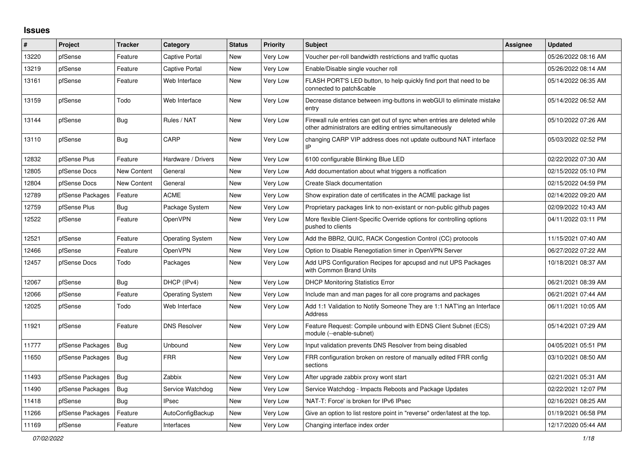## **Issues**

| #     | <b>Project</b>   | <b>Tracker</b>     | Category                | <b>Status</b> | <b>Priority</b> | <b>Subject</b>                                                                                                                      | Assignee | <b>Updated</b>      |
|-------|------------------|--------------------|-------------------------|---------------|-----------------|-------------------------------------------------------------------------------------------------------------------------------------|----------|---------------------|
| 13220 | pfSense          | Feature            | Captive Portal          | New           | Very Low        | Voucher per-roll bandwidth restrictions and traffic quotas                                                                          |          | 05/26/2022 08:16 AM |
| 13219 | pfSense          | Feature            | <b>Captive Portal</b>   | <b>New</b>    | Very Low        | Enable/Disable single voucher roll                                                                                                  |          | 05/26/2022 08:14 AM |
| 13161 | pfSense          | Feature            | Web Interface           | <b>New</b>    | Very Low        | FLASH PORT'S LED button, to help quickly find port that need to be<br>connected to patch&cable                                      |          | 05/14/2022 06:35 AM |
| 13159 | pfSense          | Todo               | Web Interface           | <b>New</b>    | Very Low        | Decrease distance between img-buttons in webGUI to eliminate mistake<br>entry                                                       |          | 05/14/2022 06:52 AM |
| 13144 | pfSense          | Bug                | Rules / NAT             | New           | Very Low        | Firewall rule entries can get out of sync when entries are deleted while<br>other administrators are editing entries simultaneously |          | 05/10/2022 07:26 AM |
| 13110 | pfSense          | Bug                | CARP                    | <b>New</b>    | Very Low        | changing CARP VIP address does not update outbound NAT interface<br>IP                                                              |          | 05/03/2022 02:52 PM |
| 12832 | pfSense Plus     | Feature            | Hardware / Drivers      | <b>New</b>    | Very Low        | 6100 configurable Blinking Blue LED                                                                                                 |          | 02/22/2022 07:30 AM |
| 12805 | pfSense Docs     | <b>New Content</b> | General                 | New           | Very Low        | Add documentation about what triggers a notfication                                                                                 |          | 02/15/2022 05:10 PM |
| 12804 | pfSense Docs     | New Content        | General                 | New           | Very Low        | Create Slack documentation                                                                                                          |          | 02/15/2022 04:59 PM |
| 12789 | pfSense Packages | Feature            | <b>ACME</b>             | New           | Very Low        | Show expiration date of certificates in the ACME package list                                                                       |          | 02/14/2022 09:20 AM |
| 12759 | pfSense Plus     | Bug                | Package System          | New           | Very Low        | Proprietary packages link to non-existant or non-public github pages                                                                |          | 02/09/2022 10:43 AM |
| 12522 | pfSense          | Feature            | OpenVPN                 | New           | Very Low        | More flexible Client-Specific Override options for controlling options<br>pushed to clients                                         |          | 04/11/2022 03:11 PM |
| 12521 | pfSense          | Feature            | <b>Operating System</b> | <b>New</b>    | Very Low        | Add the BBR2, QUIC, RACK Congestion Control (CC) protocols                                                                          |          | 11/15/2021 07:40 AM |
| 12466 | pfSense          | Feature            | OpenVPN                 | New           | Very Low        | Option to Disable Renegotiation timer in OpenVPN Server                                                                             |          | 06/27/2022 07:22 AM |
| 12457 | pfSense Docs     | Todo               | Packages                | New           | Very Low        | Add UPS Configuration Recipes for apcupsd and nut UPS Packages<br>with Common Brand Units                                           |          | 10/18/2021 08:37 AM |
| 12067 | pfSense          | Bug                | DHCP (IPv4)             | New           | Very Low        | <b>DHCP Monitoring Statistics Error</b>                                                                                             |          | 06/21/2021 08:39 AM |
| 12066 | pfSense          | Feature            | <b>Operating System</b> | New           | Very Low        | Include man and man pages for all core programs and packages                                                                        |          | 06/21/2021 07:44 AM |
| 12025 | pfSense          | Todo               | Web Interface           | New           | Very Low        | Add 1:1 Validation to Notify Someone They are 1:1 NAT'ing an Interface<br><b>Address</b>                                            |          | 06/11/2021 10:05 AM |
| 11921 | pfSense          | Feature            | <b>DNS Resolver</b>     | <b>New</b>    | Very Low        | Feature Request: Compile unbound with EDNS Client Subnet (ECS)<br>module (--enable-subnet)                                          |          | 05/14/2021 07:29 AM |
| 11777 | pfSense Packages | Bug                | Unbound                 | <b>New</b>    | Very Low        | Input validation prevents DNS Resolver from being disabled                                                                          |          | 04/05/2021 05:51 PM |
| 11650 | pfSense Packages | Bug                | <b>FRR</b>              | New           | Very Low        | FRR configuration broken on restore of manually edited FRR config<br>sections                                                       |          | 03/10/2021 08:50 AM |
| 11493 | pfSense Packages | Bug                | Zabbix                  | <b>New</b>    | Very Low        | After upgrade zabbix proxy wont start                                                                                               |          | 02/21/2021 05:31 AM |
| 11490 | pfSense Packages | Bug                | Service Watchdog        | New           | Very Low        | Service Watchdog - Impacts Reboots and Package Updates                                                                              |          | 02/22/2021 12:07 PM |
| 11418 | pfSense          | Bug                | <b>IPsec</b>            | New           | Very Low        | 'NAT-T: Force' is broken for IPv6 IPsec                                                                                             |          | 02/16/2021 08:25 AM |
| 11266 | pfSense Packages | Feature            | AutoConfigBackup        | <b>New</b>    | Very Low        | Give an option to list restore point in "reverse" order/latest at the top.                                                          |          | 01/19/2021 06:58 PM |
| 11169 | pfSense          | Feature            | Interfaces              | <b>New</b>    | Very Low        | Changing interface index order                                                                                                      |          | 12/17/2020 05:44 AM |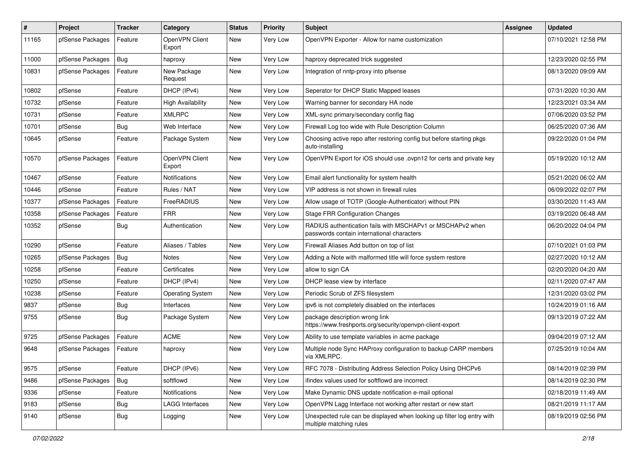| #     | Project          | <b>Tracker</b> | Category                 | <b>Status</b> | <b>Priority</b> | <b>Subject</b>                                                                                           | Assignee | <b>Updated</b>      |
|-------|------------------|----------------|--------------------------|---------------|-----------------|----------------------------------------------------------------------------------------------------------|----------|---------------------|
| 11165 | pfSense Packages | Feature        | OpenVPN Client<br>Export | <b>New</b>    | Very Low        | OpenVPN Exporter - Allow for name customization                                                          |          | 07/10/2021 12:58 PM |
| 11000 | pfSense Packages | Bug            | haproxy                  | <b>New</b>    | Very Low        | haproxy deprecated trick suggested                                                                       |          | 12/23/2020 02:55 PM |
| 10831 | pfSense Packages | Feature        | New Package<br>Request   | New           | Very Low        | Integration of nntp-proxy into pfsense                                                                   |          | 08/13/2020 09:09 AM |
| 10802 | pfSense          | Feature        | DHCP (IPv4)              | <b>New</b>    | Very Low        | Seperator for DHCP Static Mapped leases                                                                  |          | 07/31/2020 10:30 AM |
| 10732 | pfSense          | Feature        | <b>High Availability</b> | New           | Very Low        | Warning banner for secondary HA node                                                                     |          | 12/23/2021 03:34 AM |
| 10731 | pfSense          | Feature        | <b>XMLRPC</b>            | New           | Very Low        | XML-sync primary/secondary config flag                                                                   |          | 07/06/2020 03:52 PM |
| 10701 | pfSense          | Bug            | Web Interface            | New           | Very Low        | Firewall Log too wide with Rule Description Column                                                       |          | 06/25/2020 07:36 AM |
| 10645 | pfSense          | Feature        | Package System           | New           | Very Low        | Choosing active repo after restoring config but before starting pkgs<br>auto-installing                  |          | 09/22/2020 01:04 PM |
| 10570 | pfSense Packages | Feature        | OpenVPN Client<br>Export | New           | Very Low        | OpenVPN Export for iOS should use .ovpn12 for certs and private key                                      |          | 05/19/2020 10:12 AM |
| 10467 | pfSense          | Feature        | Notifications            | <b>New</b>    | Very Low        | Email alert functionality for system health                                                              |          | 05/21/2020 06:02 AM |
| 10446 | pfSense          | Feature        | Rules / NAT              | New           | Very Low        | VIP address is not shown in firewall rules                                                               |          | 06/09/2022 02:07 PM |
| 10377 | pfSense Packages | Feature        | FreeRADIUS               | New           | Very Low        | Allow usage of TOTP (Google-Authenticator) without PIN                                                   |          | 03/30/2020 11:43 AM |
| 10358 | pfSense Packages | Feature        | <b>FRR</b>               | New           | Very Low        | <b>Stage FRR Configuration Changes</b>                                                                   |          | 03/19/2020 06:48 AM |
| 10352 | pfSense          | Bug            | Authentication           | New           | Very Low        | RADIUS authentication fails with MSCHAPv1 or MSCHAPv2 when<br>passwords contain international characters |          | 06/20/2022 04:04 PM |
| 10290 | pfSense          | Feature        | Aliases / Tables         | New           | Very Low        | Firewall Aliases Add button on top of list                                                               |          | 07/10/2021 01:03 PM |
| 10265 | pfSense Packages | Bug            | <b>Notes</b>             | New           | Very Low        | Adding a Note with malformed title will force system restore                                             |          | 02/27/2020 10:12 AM |
| 10258 | pfSense          | Feature        | Certificates             | New           | Very Low        | allow to sign CA                                                                                         |          | 02/20/2020 04:20 AM |
| 10250 | pfSense          | Feature        | DHCP (IPv4)              | <b>New</b>    | Very Low        | DHCP lease view by interface                                                                             |          | 02/11/2020 07:47 AM |
| 10238 | pfSense          | Feature        | <b>Operating System</b>  | New           | Very Low        | Periodic Scrub of ZFS filesystem                                                                         |          | 12/31/2020 03:02 PM |
| 9837  | pfSense          | Bug            | Interfaces               | New           | Very Low        | ipv6 is not completely disabled on the interfaces                                                        |          | 10/24/2019 01:16 AM |
| 9755  | pfSense          | Bug            | Package System           | <b>New</b>    | Very Low        | package description wrong link<br>https://www.freshports.org/security/openvpn-client-export              |          | 09/13/2019 07:22 AM |
| 9725  | pfSense Packages | Feature        | <b>ACME</b>              | New           | Very Low        | Ability to use template variables in acme package                                                        |          | 09/04/2019 07:12 AM |
| 9648  | pfSense Packages | Feature        | haproxy                  | New           | Very Low        | Multiple node Sync HAProxy configuration to backup CARP members<br>via XMLRPC.                           |          | 07/25/2019 10:04 AM |
| 9575  | pfSense          | Feature        | DHCP (IPv6)              | New           | Very Low        | RFC 7078 - Distributing Address Selection Policy Using DHCPv6                                            |          | 08/14/2019 02:39 PM |
| 9486  | pfSense Packages | Bug            | softflowd                | New           | Very Low        | ifindex values used for softflowd are incorrect                                                          |          | 08/14/2019 02:30 PM |
| 9336  | pfSense          | Feature        | Notifications            | New           | Very Low        | Make Dynamic DNS update notification e-mail optional                                                     |          | 02/18/2019 11:49 AM |
| 9183  | pfSense          | <b>Bug</b>     | <b>LAGG Interfaces</b>   | New           | Very Low        | OpenVPN Lagg Interface not working after restart or new start                                            |          | 08/21/2019 11:17 AM |
| 9140  | pfSense          | <b>Bug</b>     | Logging                  | New           | Very Low        | Unexpected rule can be displayed when looking up filter log entry with<br>multiple matching rules        |          | 08/19/2019 02:56 PM |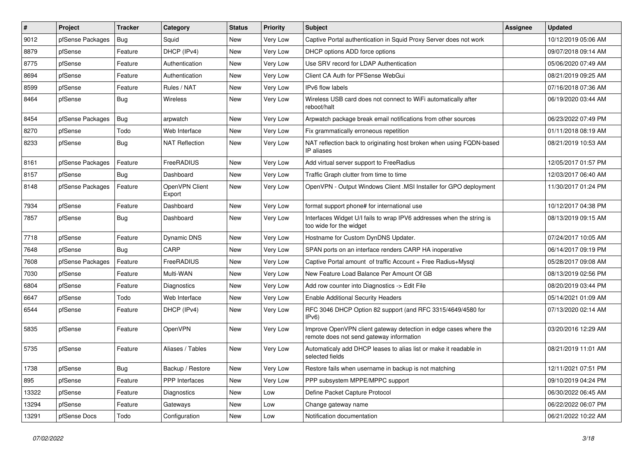| $\vert$ # | Project          | <b>Tracker</b> | Category                 | <b>Status</b> | <b>Priority</b> | Subject                                                                                                      | Assignee | <b>Updated</b>      |
|-----------|------------------|----------------|--------------------------|---------------|-----------------|--------------------------------------------------------------------------------------------------------------|----------|---------------------|
| 9012      | pfSense Packages | Bug            | Squid                    | New           | Very Low        | Captive Portal authentication in Squid Proxy Server does not work                                            |          | 10/12/2019 05:06 AM |
| 8879      | pfSense          | Feature        | DHCP (IPv4)              | New           | Very Low        | DHCP options ADD force options                                                                               |          | 09/07/2018 09:14 AM |
| 8775      | pfSense          | Feature        | Authentication           | New           | Very Low        | Use SRV record for LDAP Authentication                                                                       |          | 05/06/2020 07:49 AM |
| 8694      | pfSense          | Feature        | Authentication           | New           | Very Low        | Client CA Auth for PFSense WebGui                                                                            |          | 08/21/2019 09:25 AM |
| 8599      | pfSense          | Feature        | Rules / NAT              | New           | Very Low        | <b>IPv6</b> flow labels                                                                                      |          | 07/16/2018 07:36 AM |
| 8464      | pfSense          | Bug            | Wireless                 | New           | Very Low        | Wireless USB card does not connect to WiFi automatically after<br>reboot/halt                                |          | 06/19/2020 03:44 AM |
| 8454      | pfSense Packages | Bug            | arpwatch                 | <b>New</b>    | Very Low        | Arpwatch package break email notifications from other sources                                                |          | 06/23/2022 07:49 PM |
| 8270      | pfSense          | Todo           | Web Interface            | New           | Very Low        | Fix grammatically erroneous repetition                                                                       |          | 01/11/2018 08:19 AM |
| 8233      | pfSense          | Bug            | <b>NAT Reflection</b>    | New           | Very Low        | NAT reflection back to originating host broken when using FQDN-based<br>IP aliases                           |          | 08/21/2019 10:53 AM |
| 8161      | pfSense Packages | Feature        | FreeRADIUS               | New           | Very Low        | Add virtual server support to FreeRadius                                                                     |          | 12/05/2017 01:57 PM |
| 8157      | pfSense          | Bug            | Dashboard                | New           | Very Low        | Traffic Graph clutter from time to time                                                                      |          | 12/03/2017 06:40 AM |
| 8148      | pfSense Packages | Feature        | OpenVPN Client<br>Export | New           | Very Low        | OpenVPN - Output Windows Client .MSI Installer for GPO deployment                                            |          | 11/30/2017 01:24 PM |
| 7934      | pfSense          | Feature        | Dashboard                | <b>New</b>    | Very Low        | format support phone# for international use                                                                  |          | 10/12/2017 04:38 PM |
| 7857      | pfSense          | Bug            | Dashboard                | New           | Very Low        | Interfaces Widget U/I fails to wrap IPV6 addresses when the string is<br>too wide for the widget             |          | 08/13/2019 09:15 AM |
| 7718      | pfSense          | Feature        | Dynamic DNS              | New           | Very Low        | Hostname for Custom DynDNS Updater.                                                                          |          | 07/24/2017 10:05 AM |
| 7648      | pfSense          | Bug            | CARP                     | New           | Very Low        | SPAN ports on an interface renders CARP HA inoperative                                                       |          | 06/14/2017 09:19 PM |
| 7608      | pfSense Packages | Feature        | FreeRADIUS               | New           | Very Low        | Captive Portal amount of traffic Account + Free Radius+Mysql                                                 |          | 05/28/2017 09:08 AM |
| 7030      | pfSense          | Feature        | Multi-WAN                | New           | Very Low        | New Feature Load Balance Per Amount Of GB                                                                    |          | 08/13/2019 02:56 PM |
| 6804      | pfSense          | Feature        | Diagnostics              | New           | Very Low        | Add row counter into Diagnostics -> Edit File                                                                |          | 08/20/2019 03:44 PM |
| 6647      | pfSense          | Todo           | Web Interface            | <b>New</b>    | Very Low        | <b>Enable Additional Security Headers</b>                                                                    |          | 05/14/2021 01:09 AM |
| 6544      | pfSense          | Feature        | DHCP (IPv4)              | New           | Very Low        | RFC 3046 DHCP Option 82 support (and RFC 3315/4649/4580 for<br>IPv6                                          |          | 07/13/2020 02:14 AM |
| 5835      | pfSense          | Feature        | OpenVPN                  | New           | Very Low        | Improve OpenVPN client gateway detection in edge cases where the<br>remote does not send gateway information |          | 03/20/2016 12:29 AM |
| 5735      | pfSense          | Feature        | Aliases / Tables         | New           | Very Low        | Automaticaly add DHCP leases to alias list or make it readable in<br>selected fields                         |          | 08/21/2019 11:01 AM |
| 1738      | pfSense          | Bug            | Backup / Restore         | <b>New</b>    | Very Low        | Restore fails when username in backup is not matching                                                        |          | 12/11/2021 07:51 PM |
| 895       | pfSense          | Feature        | PPP Interfaces           | New           | Very Low        | PPP subsystem MPPE/MPPC support                                                                              |          | 09/10/2019 04:24 PM |
| 13322     | pfSense          | Feature        | Diagnostics              | New           | Low             | Define Packet Capture Protocol                                                                               |          | 06/30/2022 06:45 AM |
| 13294     | pfSense          | Feature        | Gateways                 | New           | Low             | Change gateway name                                                                                          |          | 06/22/2022 06:07 PM |
| 13291     | pfSense Docs     | Todo           | Configuration            | New           | Low             | Notification documentation                                                                                   |          | 06/21/2022 10:22 AM |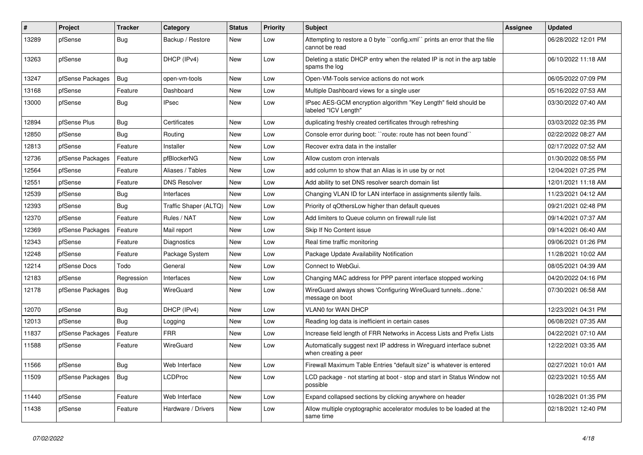| ∦     | Project          | <b>Tracker</b> | Category              | <b>Status</b> | <b>Priority</b> | <b>Subject</b>                                                                              | <b>Assignee</b> | <b>Updated</b>      |
|-------|------------------|----------------|-----------------------|---------------|-----------------|---------------------------------------------------------------------------------------------|-----------------|---------------------|
| 13289 | pfSense          | Bug            | Backup / Restore      | <b>New</b>    | Low             | Attempting to restore a 0 byte "config.xml" prints an error that the file<br>cannot be read |                 | 06/28/2022 12:01 PM |
| 13263 | pfSense          | Bug            | DHCP (IPv4)           | <b>New</b>    | Low             | Deleting a static DHCP entry when the related IP is not in the arp table<br>spams the log   |                 | 06/10/2022 11:18 AM |
| 13247 | pfSense Packages | Bug            | open-vm-tools         | <b>New</b>    | Low             | Open-VM-Tools service actions do not work                                                   |                 | 06/05/2022 07:09 PM |
| 13168 | pfSense          | Feature        | Dashboard             | New           | Low             | Multiple Dashboard views for a single user                                                  |                 | 05/16/2022 07:53 AM |
| 13000 | pfSense          | Bug            | <b>IPsec</b>          | New           | Low             | IPsec AES-GCM encryption algorithm "Key Length" field should be<br>labeled "ICV Length"     |                 | 03/30/2022 07:40 AM |
| 12894 | pfSense Plus     | Bug            | Certificates          | <b>New</b>    | Low             | duplicating freshly created certificates through refreshing                                 |                 | 03/03/2022 02:35 PM |
| 12850 | pfSense          | Bug            | Routing               | <b>New</b>    | Low             | Console error during boot: "route: route has not been found"                                |                 | 02/22/2022 08:27 AM |
| 12813 | pfSense          | Feature        | Installer             | New           | Low             | Recover extra data in the installer                                                         |                 | 02/17/2022 07:52 AM |
| 12736 | pfSense Packages | Feature        | pfBlockerNG           | New           | Low             | Allow custom cron intervals                                                                 |                 | 01/30/2022 08:55 PM |
| 12564 | pfSense          | Feature        | Aliases / Tables      | <b>New</b>    | Low             | add column to show that an Alias is in use by or not                                        |                 | 12/04/2021 07:25 PM |
| 12551 | pfSense          | Feature        | <b>DNS Resolver</b>   | New           | Low             | Add ability to set DNS resolver search domain list                                          |                 | 12/01/2021 11:18 AM |
| 12539 | pfSense          | Bug            | Interfaces            | <b>New</b>    | Low             | Changing VLAN ID for LAN interface in assignments silently fails.                           |                 | 11/23/2021 04:12 AM |
| 12393 | pfSense          | Bug            | Traffic Shaper (ALTQ) | <b>New</b>    | Low             | Priority of gOthersLow higher than default queues                                           |                 | 09/21/2021 02:48 PM |
| 12370 | pfSense          | Feature        | Rules / NAT           | New           | Low             | Add limiters to Queue column on firewall rule list                                          |                 | 09/14/2021 07:37 AM |
| 12369 | pfSense Packages | Feature        | Mail report           | <b>New</b>    | Low             | Skip If No Content issue                                                                    |                 | 09/14/2021 06:40 AM |
| 12343 | pfSense          | Feature        | Diagnostics           | <b>New</b>    | Low             | Real time traffic monitoring                                                                |                 | 09/06/2021 01:26 PM |
| 12248 | pfSense          | Feature        | Package System        | New           | Low             | Package Update Availability Notification                                                    |                 | 11/28/2021 10:02 AM |
| 12214 | pfSense Docs     | Todo           | General               | New           | Low             | Connect to WebGui.                                                                          |                 | 08/05/2021 04:39 AM |
| 12183 | pfSense          | Regression     | Interfaces            | New           | Low             | Changing MAC address for PPP parent interface stopped working                               |                 | 04/20/2022 04:16 PM |
| 12178 | pfSense Packages | Bug            | WireGuard             | New           | Low             | WireGuard always shows 'Configuring WireGuard tunnelsdone.'<br>message on boot              |                 | 07/30/2021 06:58 AM |
| 12070 | pfSense          | Bug            | DHCP (IPv4)           | New           | Low             | VLAN0 for WAN DHCP                                                                          |                 | 12/23/2021 04:31 PM |
| 12013 | pfSense          | Bug            | Logging               | <b>New</b>    | Low             | Reading log data is inefficient in certain cases                                            |                 | 06/08/2021 07:35 AM |
| 11837 | pfSense Packages | Feature        | <b>FRR</b>            | New           | Low             | Increase field length of FRR Networks in Access Lists and Prefix Lists                      |                 | 04/22/2021 07:10 AM |
| 11588 | pfSense          | Feature        | WireGuard             | New           | Low             | Automatically suggest next IP address in Wireguard interface subnet<br>when creating a peer |                 | 12/22/2021 03:35 AM |
| 11566 | pfSense          | Bug            | Web Interface         | New           | Low             | Firewall Maximum Table Entries "default size" is whatever is entered                        |                 | 02/27/2021 10:01 AM |
| 11509 | pfSense Packages | Bug            | LCDProc               | New           | Low             | LCD package - not starting at boot - stop and start in Status Window not<br>possible        |                 | 02/23/2021 10:55 AM |
| 11440 | pfSense          | Feature        | Web Interface         | <b>New</b>    | Low             | Expand collapsed sections by clicking anywhere on header                                    |                 | 10/28/2021 01:35 PM |
| 11438 | pfSense          | Feature        | Hardware / Drivers    | New           | Low             | Allow multiple cryptographic accelerator modules to be loaded at the<br>same time           |                 | 02/18/2021 12:40 PM |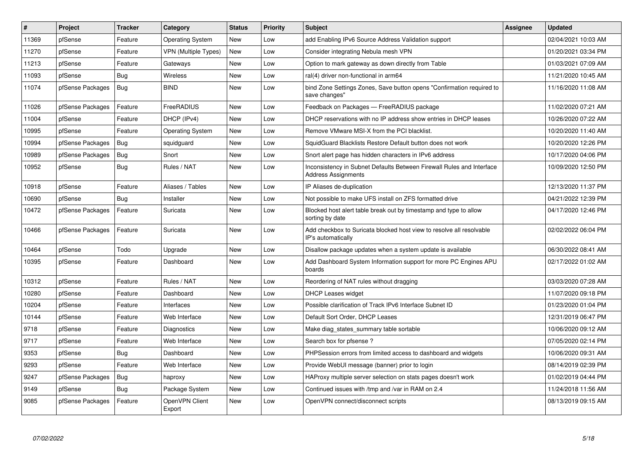| #     | Project          | <b>Tracker</b> | Category                 | <b>Status</b> | <b>Priority</b> | <b>Subject</b>                                                                                      | Assignee | <b>Updated</b>      |
|-------|------------------|----------------|--------------------------|---------------|-----------------|-----------------------------------------------------------------------------------------------------|----------|---------------------|
| 11369 | pfSense          | Feature        | <b>Operating System</b>  | <b>New</b>    | Low             | add Enabling IPv6 Source Address Validation support                                                 |          | 02/04/2021 10:03 AM |
| 11270 | pfSense          | Feature        | VPN (Multiple Types)     | <b>New</b>    | Low             | Consider integrating Nebula mesh VPN                                                                |          | 01/20/2021 03:34 PM |
| 11213 | pfSense          | Feature        | Gateways                 | <b>New</b>    | Low             | Option to mark gateway as down directly from Table                                                  |          | 01/03/2021 07:09 AM |
| 11093 | pfSense          | Bug            | Wireless                 | New           | Low             | ral(4) driver non-functional in arm64                                                               |          | 11/21/2020 10:45 AM |
| 11074 | pfSense Packages | Bug            | <b>BIND</b>              | New           | Low             | bind Zone Settings Zones, Save button opens "Confirmation required to<br>save changes"              |          | 11/16/2020 11:08 AM |
| 11026 | pfSense Packages | Feature        | FreeRADIUS               | <b>New</b>    | Low             | Feedback on Packages - FreeRADIUS package                                                           |          | 11/02/2020 07:21 AM |
| 11004 | pfSense          | Feature        | DHCP (IPv4)              | <b>New</b>    | Low             | DHCP reservations with no IP address show entries in DHCP leases                                    |          | 10/26/2020 07:22 AM |
| 10995 | pfSense          | Feature        | <b>Operating System</b>  | New           | Low             | Remove VMware MSI-X from the PCI blacklist.                                                         |          | 10/20/2020 11:40 AM |
| 10994 | pfSense Packages | Bug            | squidguard               | <b>New</b>    | Low             | SquidGuard Blacklists Restore Default button does not work                                          |          | 10/20/2020 12:26 PM |
| 10989 | pfSense Packages | Bug            | Snort                    | <b>New</b>    | Low             | Snort alert page has hidden characters in IPv6 address                                              |          | 10/17/2020 04:06 PM |
| 10952 | pfSense          | <b>Bug</b>     | Rules / NAT              | <b>New</b>    | Low             | Inconsistency in Subnet Defaults Between Firewall Rules and Interface<br><b>Address Assignments</b> |          | 10/09/2020 12:50 PM |
| 10918 | pfSense          | Feature        | Aliases / Tables         | <b>New</b>    | Low             | IP Aliases de-duplication                                                                           |          | 12/13/2020 11:37 PM |
| 10690 | pfSense          | Bug            | Installer                | <b>New</b>    | Low             | Not possible to make UFS install on ZFS formatted drive                                             |          | 04/21/2022 12:39 PM |
| 10472 | pfSense Packages | Feature        | Suricata                 | <b>New</b>    | Low             | Blocked host alert table break out by timestamp and type to allow<br>sorting by date                |          | 04/17/2020 12:46 PM |
| 10466 | pfSense Packages | Feature        | Suricata                 | <b>New</b>    | Low             | Add checkbox to Suricata blocked host view to resolve all resolvable<br>IP's automatically          |          | 02/02/2022 06:04 PM |
| 10464 | pfSense          | Todo           | Upgrade                  | <b>New</b>    | Low             | Disallow package updates when a system update is available                                          |          | 06/30/2022 08:41 AM |
| 10395 | pfSense          | Feature        | Dashboard                | <b>New</b>    | Low             | Add Dashboard System Information support for more PC Engines APU<br>boards                          |          | 02/17/2022 01:02 AM |
| 10312 | pfSense          | Feature        | Rules / NAT              | <b>New</b>    | Low             | Reordering of NAT rules without dragging                                                            |          | 03/03/2020 07:28 AM |
| 10280 | pfSense          | Feature        | Dashboard                | <b>New</b>    | Low             | <b>DHCP Leases widget</b>                                                                           |          | 11/07/2020 09:18 PM |
| 10204 | pfSense          | Feature        | Interfaces               | <b>New</b>    | Low             | Possible clarification of Track IPv6 Interface Subnet ID                                            |          | 01/23/2020 01:04 PM |
| 10144 | pfSense          | Feature        | Web Interface            | <b>New</b>    | Low             | Default Sort Order, DHCP Leases                                                                     |          | 12/31/2019 06:47 PM |
| 9718  | pfSense          | Feature        | Diagnostics              | <b>New</b>    | Low             | Make diag states summary table sortable                                                             |          | 10/06/2020 09:12 AM |
| 9717  | pfSense          | Feature        | Web Interface            | <b>New</b>    | Low             | Search box for pfsense?                                                                             |          | 07/05/2020 02:14 PM |
| 9353  | pfSense          | Bug            | Dashboard                | New           | Low             | PHPSession errors from limited access to dashboard and widgets                                      |          | 10/06/2020 09:31 AM |
| 9293  | pfSense          | Feature        | Web Interface            | New           | Low             | Provide WebUI message (banner) prior to login                                                       |          | 08/14/2019 02:39 PM |
| 9247  | pfSense Packages | <b>Bug</b>     | haproxy                  | <b>New</b>    | Low             | HAProxy multiple server selection on stats pages doesn't work                                       |          | 01/02/2019 04:44 PM |
| 9149  | pfSense          | Bug            | Package System           | New           | Low             | Continued issues with /tmp and /var in RAM on 2.4                                                   |          | 11/24/2018 11:56 AM |
| 9085  | pfSense Packages | Feature        | OpenVPN Client<br>Export | <b>New</b>    | Low             | OpenVPN connect/disconnect scripts                                                                  |          | 08/13/2019 09:15 AM |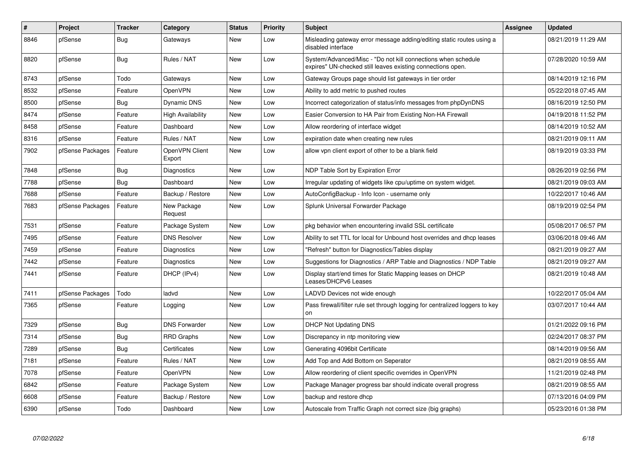| #    | Project          | <b>Tracker</b> | Category                 | <b>Status</b> | Priority | <b>Subject</b>                                                                                                               | Assignee | <b>Updated</b>      |
|------|------------------|----------------|--------------------------|---------------|----------|------------------------------------------------------------------------------------------------------------------------------|----------|---------------------|
| 8846 | pfSense          | <b>Bug</b>     | Gateways                 | <b>New</b>    | Low      | Misleading gateway error message adding/editing static routes using a<br>disabled interface                                  |          | 08/21/2019 11:29 AM |
| 8820 | pfSense          | <b>Bug</b>     | Rules / NAT              | <b>New</b>    | Low      | System/Advanced/Misc - "Do not kill connections when schedule<br>expires" UN-checked still leaves existing connections open. |          | 07/28/2020 10:59 AM |
| 8743 | pfSense          | Todo           | Gateways                 | <b>New</b>    | Low      | Gateway Groups page should list gateways in tier order                                                                       |          | 08/14/2019 12:16 PM |
| 8532 | pfSense          | Feature        | OpenVPN                  | <b>New</b>    | Low      | Ability to add metric to pushed routes                                                                                       |          | 05/22/2018 07:45 AM |
| 8500 | pfSense          | Bug            | <b>Dynamic DNS</b>       | New           | Low      | Incorrect categorization of status/info messages from phpDynDNS                                                              |          | 08/16/2019 12:50 PM |
| 8474 | pfSense          | Feature        | High Availability        | <b>New</b>    | Low      | Easier Conversion to HA Pair from Existing Non-HA Firewall                                                                   |          | 04/19/2018 11:52 PM |
| 8458 | pfSense          | Feature        | Dashboard                | New           | Low      | Allow reordering of interface widget                                                                                         |          | 08/14/2019 10:52 AM |
| 8316 | pfSense          | Feature        | Rules / NAT              | New           | Low      | expiration date when creating new rules                                                                                      |          | 08/21/2019 09:11 AM |
| 7902 | pfSense Packages | Feature        | OpenVPN Client<br>Export | <b>New</b>    | Low      | allow vpn client export of other to be a blank field                                                                         |          | 08/19/2019 03:33 PM |
| 7848 | pfSense          | Bug            | Diagnostics              | <b>New</b>    | Low      | NDP Table Sort by Expiration Error                                                                                           |          | 08/26/2019 02:56 PM |
| 7788 | pfSense          | Bug            | Dashboard                | New           | Low      | Irregular updating of widgets like cpu/uptime on system widget.                                                              |          | 08/21/2019 09:03 AM |
| 7688 | pfSense          | Feature        | Backup / Restore         | <b>New</b>    | Low      | AutoConfigBackup - Info Icon - username only                                                                                 |          | 10/22/2017 10:46 AM |
| 7683 | pfSense Packages | Feature        | New Package<br>Request   | New           | Low      | Splunk Universal Forwarder Package                                                                                           |          | 08/19/2019 02:54 PM |
| 7531 | pfSense          | Feature        | Package System           | <b>New</b>    | Low      | pkg behavior when encountering invalid SSL certificate                                                                       |          | 05/08/2017 06:57 PM |
| 7495 | pfSense          | Feature        | <b>DNS Resolver</b>      | New           | Low      | Ability to set TTL for local for Unbound host overrides and dhcp leases                                                      |          | 03/06/2018 09:46 AM |
| 7459 | pfSense          | Feature        | Diagnostics              | <b>New</b>    | Low      | "Refresh" button for Diagnostics/Tables display                                                                              |          | 08/21/2019 09:27 AM |
| 7442 | pfSense          | Feature        | Diagnostics              | <b>New</b>    | Low      | Suggestions for Diagnostics / ARP Table and Diagnostics / NDP Table                                                          |          | 08/21/2019 09:27 AM |
| 7441 | pfSense          | Feature        | DHCP (IPv4)              | New           | Low      | Display start/end times for Static Mapping leases on DHCP<br>Leases/DHCPv6 Leases                                            |          | 08/21/2019 10:48 AM |
| 7411 | pfSense Packages | Todo           | ladvd                    | New           | Low      | LADVD Devices not wide enough                                                                                                |          | 10/22/2017 05:04 AM |
| 7365 | pfSense          | Feature        | Logging                  | <b>New</b>    | Low      | Pass firewall/filter rule set through logging for centralized loggers to key<br>on                                           |          | 03/07/2017 10:44 AM |
| 7329 | pfSense          | Bug            | <b>DNS Forwarder</b>     | <b>New</b>    | Low      | <b>DHCP Not Updating DNS</b>                                                                                                 |          | 01/21/2022 09:16 PM |
| 7314 | pfSense          | Bug            | <b>RRD Graphs</b>        | <b>New</b>    | Low      | Discrepancy in ntp monitoring view                                                                                           |          | 02/24/2017 08:37 PM |
| 7289 | pfSense          | Bug            | Certificates             | New           | Low      | Generating 4096bit Certificate                                                                                               |          | 08/14/2019 09:56 AM |
| 7181 | pfSense          | Feature        | Rules / NAT              | <b>New</b>    | Low      | Add Top and Add Bottom on Seperator                                                                                          |          | 08/21/2019 08:55 AM |
| 7078 | pfSense          | Feature        | OpenVPN                  | <b>New</b>    | Low      | Allow reordering of client specific overrides in OpenVPN                                                                     |          | 11/21/2019 02:48 PM |
| 6842 | pfSense          | Feature        | Package System           | New           | Low      | Package Manager progress bar should indicate overall progress                                                                |          | 08/21/2019 08:55 AM |
| 6608 | pfSense          | Feature        | Backup / Restore         | New           | Low      | backup and restore dhcp                                                                                                      |          | 07/13/2016 04:09 PM |
| 6390 | pfSense          | Todo           | Dashboard                | New           | Low      | Autoscale from Traffic Graph not correct size (big graphs)                                                                   |          | 05/23/2016 01:38 PM |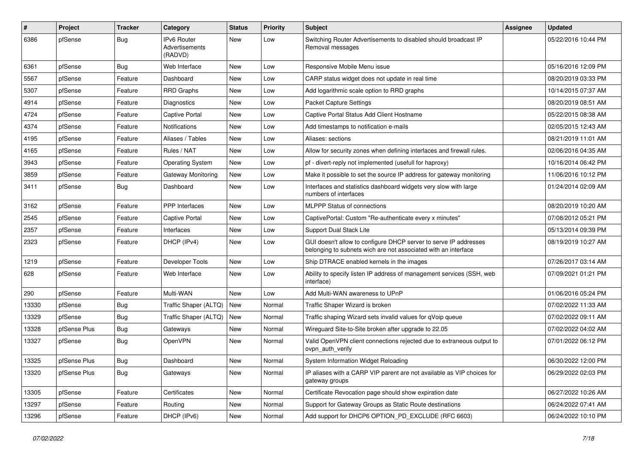| $\sharp$ | Project      | <b>Tracker</b> | Category                                        | <b>Status</b> | <b>Priority</b> | Subject                                                                                                                            | <b>Assignee</b> | <b>Updated</b>      |
|----------|--------------|----------------|-------------------------------------------------|---------------|-----------------|------------------------------------------------------------------------------------------------------------------------------------|-----------------|---------------------|
| 6386     | pfSense      | Bug            | <b>IPv6 Router</b><br>Advertisements<br>(RADVD) | <b>New</b>    | Low             | Switching Router Advertisements to disabled should broadcast IP<br>Removal messages                                                |                 | 05/22/2016 10:44 PM |
| 6361     | pfSense      | Bug            | Web Interface                                   | <b>New</b>    | Low             | Responsive Mobile Menu issue                                                                                                       |                 | 05/16/2016 12:09 PM |
| 5567     | pfSense      | Feature        | Dashboard                                       | <b>New</b>    | Low             | CARP status widget does not update in real time                                                                                    |                 | 08/20/2019 03:33 PM |
| 5307     | pfSense      | Feature        | <b>RRD Graphs</b>                               | <b>New</b>    | Low             | Add logarithmic scale option to RRD graphs                                                                                         |                 | 10/14/2015 07:37 AM |
| 4914     | pfSense      | Feature        | Diagnostics                                     | New           | Low             | Packet Capture Settings                                                                                                            |                 | 08/20/2019 08:51 AM |
| 4724     | pfSense      | Feature        | <b>Captive Portal</b>                           | New           | Low             | Captive Portal Status Add Client Hostname                                                                                          |                 | 05/22/2015 08:38 AM |
| 4374     | pfSense      | Feature        | <b>Notifications</b>                            | <b>New</b>    | Low             | Add timestamps to notification e-mails                                                                                             |                 | 02/05/2015 12:43 AM |
| 4195     | pfSense      | Feature        | Aliases / Tables                                | New           | Low             | Aliases: sections                                                                                                                  |                 | 08/21/2019 11:01 AM |
| 4165     | pfSense      | Feature        | Rules / NAT                                     | <b>New</b>    | Low             | Allow for security zones when defining interfaces and firewall rules.                                                              |                 | 02/06/2016 04:35 AM |
| 3943     | pfSense      | Feature        | <b>Operating System</b>                         | New           | Low             | pf - divert-reply not implemented (usefull for haproxy)                                                                            |                 | 10/16/2014 06:42 PM |
| 3859     | pfSense      | Feature        | <b>Gateway Monitoring</b>                       | <b>New</b>    | Low             | Make it possible to set the source IP address for gateway monitoring                                                               |                 | 11/06/2016 10:12 PM |
| 3411     | pfSense      | Bug            | Dashboard                                       | <b>New</b>    | Low             | Interfaces and statistics dashboard widgets very slow with large<br>numbers of interfaces                                          |                 | 01/24/2014 02:09 AM |
| 3162     | pfSense      | Feature        | PPP Interfaces                                  | <b>New</b>    | Low             | <b>MLPPP Status of connections</b>                                                                                                 |                 | 08/20/2019 10:20 AM |
| 2545     | pfSense      | Feature        | <b>Captive Portal</b>                           | <b>New</b>    | Low             | CaptivePortal: Custom "Re-authenticate every x minutes"                                                                            |                 | 07/08/2012 05:21 PM |
| 2357     | pfSense      | Feature        | Interfaces                                      | <b>New</b>    | Low             | Support Dual Stack Lite                                                                                                            |                 | 05/13/2014 09:39 PM |
| 2323     | pfSense      | Feature        | DHCP (IPv4)                                     | <b>New</b>    | Low             | GUI doesn't allow to configure DHCP server to serve IP addresses<br>belonging to subnets wich are not associated with an interface |                 | 08/19/2019 10:27 AM |
| 1219     | pfSense      | Feature        | Developer Tools                                 | <b>New</b>    | Low             | Ship DTRACE enabled kernels in the images                                                                                          |                 | 07/26/2017 03:14 AM |
| 628      | pfSense      | Feature        | Web Interface                                   | <b>New</b>    | Low             | Ability to specify listen IP address of management services (SSH, web<br>interface)                                                |                 | 07/09/2021 01:21 PM |
| 290      | pfSense      | Feature        | Multi-WAN                                       | <b>New</b>    | Low             | Add Multi-WAN awareness to UPnP                                                                                                    |                 | 01/06/2016 05:24 PM |
| 13330    | pfSense      | Bug            | Traffic Shaper (ALTQ)                           | New           | Normal          | Traffic Shaper Wizard is broken                                                                                                    |                 | 07/02/2022 11:33 AM |
| 13329    | pfSense      | Bug            | Traffic Shaper (ALTQ)                           | <b>New</b>    | Normal          | Traffic shaping Wizard sets invalid values for qVoip queue                                                                         |                 | 07/02/2022 09:11 AM |
| 13328    | pfSense Plus | Bug            | Gateways                                        | New           | Normal          | Wireguard Site-to-Site broken after upgrade to 22.05                                                                               |                 | 07/02/2022 04:02 AM |
| 13327    | pfSense      | Bug            | OpenVPN                                         | New           | Normal          | Valid OpenVPN client connections rejected due to extraneous output to<br>ovpn_auth_verify                                          |                 | 07/01/2022 06:12 PM |
| 13325    | pfSense Plus | Bug            | Dashboard                                       | <b>New</b>    | Normal          | System Information Widget Reloading                                                                                                |                 | 06/30/2022 12:00 PM |
| 13320    | pfSense Plus | <b>Bug</b>     | Gateways                                        | New           | Normal          | IP aliases with a CARP VIP parent are not available as VIP choices for<br>gateway groups                                           |                 | 06/29/2022 02:03 PM |
| 13305    | pfSense      | Feature        | Certificates                                    | New           | Normal          | Certificate Revocation page should show expiration date                                                                            |                 | 06/27/2022 10:26 AM |
| 13297    | pfSense      | Feature        | Routing                                         | New           | Normal          | Support for Gateway Groups as Static Route destinations                                                                            |                 | 06/24/2022 07:41 AM |
| 13296    | pfSense      | Feature        | DHCP (IPv6)                                     | New           | Normal          | Add support for DHCP6 OPTION_PD_EXCLUDE (RFC 6603)                                                                                 |                 | 06/24/2022 10:10 PM |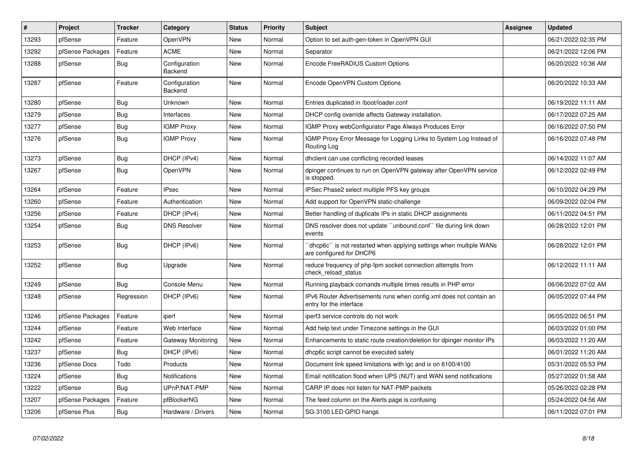| #     | Project          | <b>Tracker</b> | Category                 | <b>Status</b> | <b>Priority</b> | <b>Subject</b>                                                                                 | <b>Assignee</b> | <b>Updated</b>      |
|-------|------------------|----------------|--------------------------|---------------|-----------------|------------------------------------------------------------------------------------------------|-----------------|---------------------|
| 13293 | pfSense          | Feature        | <b>OpenVPN</b>           | <b>New</b>    | Normal          | Option to set auth-gen-token in OpenVPN GUI                                                    |                 | 06/21/2022 02:35 PM |
| 13292 | pfSense Packages | Feature        | <b>ACME</b>              | <b>New</b>    | Normal          | Separator                                                                                      |                 | 06/21/2022 12:06 PM |
| 13288 | pfSense          | <b>Bug</b>     | Configuration<br>Backend | <b>New</b>    | Normal          | Encode FreeRADIUS Custom Options                                                               |                 | 06/20/2022 10:36 AM |
| 13287 | pfSense          | Feature        | Configuration<br>Backend | <b>New</b>    | Normal          | Encode OpenVPN Custom Options                                                                  |                 | 06/20/2022 10:33 AM |
| 13280 | pfSense          | Bug            | Unknown                  | New           | Normal          | Entries duplicated in /boot/loader.conf                                                        |                 | 06/19/2022 11:11 AM |
| 13279 | pfSense          | <b>Bug</b>     | Interfaces               | <b>New</b>    | Normal          | DHCP config override affects Gateway installation.                                             |                 | 06/17/2022 07:25 AM |
| 13277 | pfSense          | <b>Bug</b>     | <b>IGMP Proxy</b>        | <b>New</b>    | Normal          | IGMP Proxy webConfigurator Page Always Produces Error                                          |                 | 06/16/2022 07:50 PM |
| 13276 | pfSense          | Bug            | <b>IGMP Proxy</b>        | <b>New</b>    | Normal          | IGMP Proxy Error Message for Logging Links to System Log Instead of<br>Routing Log             |                 | 06/16/2022 07:48 PM |
| 13273 | pfSense          | <b>Bug</b>     | DHCP (IPv4)              | <b>New</b>    | Normal          | dhclient can use conflicting recorded leases                                                   |                 | 06/14/2022 11:07 AM |
| 13267 | pfSense          | Bug            | OpenVPN                  | <b>New</b>    | Normal          | dpinger continues to run on OpenVPN gateway after OpenVPN service<br>is stopped.               |                 | 06/12/2022 02:49 PM |
| 13264 | pfSense          | Feature        | <b>IPsec</b>             | <b>New</b>    | Normal          | IPSec Phase2 select multiple PFS key groups                                                    |                 | 06/10/2022 04:29 PM |
| 13260 | pfSense          | Feature        | Authentication           | <b>New</b>    | Normal          | Add support for OpenVPN static-challenge                                                       |                 | 06/09/2022 02:04 PM |
| 13256 | pfSense          | Feature        | DHCP (IPv4)              | <b>New</b>    | Normal          | Better handling of duplicate IPs in static DHCP assignments                                    |                 | 06/11/2022 04:51 PM |
| 13254 | pfSense          | <b>Bug</b>     | <b>DNS Resolver</b>      | <b>New</b>    | Normal          | DNS resolver does not update "unbound.conf" file during link down<br>events                    |                 | 06/28/2022 12:01 PM |
| 13253 | pfSense          | <b>Bug</b>     | DHCP (IPv6)              | <b>New</b>    | Normal          | dhcp6c" is not restarted when applying settings when multiple WANs<br>are configured for DHCP6 |                 | 06/28/2022 12:01 PM |
| 13252 | pfSense          | Bug            | Upgrade                  | <b>New</b>    | Normal          | reduce frequency of php-fpm socket connection attempts from<br>check reload status             |                 | 06/12/2022 11:11 AM |
| 13249 | pfSense          | Bug            | Console Menu             | <b>New</b>    | Normal          | Running playback comands multiple times results in PHP error                                   |                 | 06/06/2022 07:02 AM |
| 13248 | pfSense          | Regression     | DHCP (IPv6)              | <b>New</b>    | Normal          | IPv6 Router Advertisements runs when config.xml does not contain an<br>entry for the interface |                 | 06/05/2022 07:44 PM |
| 13246 | pfSense Packages | Feature        | iperf                    | <b>New</b>    | Normal          | iperf3 service controls do not work                                                            |                 | 06/05/2022 06:51 PM |
| 13244 | pfSense          | Feature        | Web Interface            | <b>New</b>    | Normal          | Add help text under Timezone settings in the GUI                                               |                 | 06/03/2022 01:00 PM |
| 13242 | pfSense          | Feature        | Gateway Monitoring       | New           | Normal          | Enhancements to static route creation/deletion for dpinger monitor IPs                         |                 | 06/03/2022 11:20 AM |
| 13237 | pfSense          | Bug            | DHCP (IPv6)              | <b>New</b>    | Normal          | dhcp6c script cannot be executed safely                                                        |                 | 06/01/2022 11:20 AM |
| 13236 | pfSense Docs     | Todo           | Products                 | <b>New</b>    | Normal          | Document link speed limitations with igc and ix on 6100/4100                                   |                 | 05/31/2022 05:53 PM |
| 13224 | pfSense          | Bug            | Notifications            | <b>New</b>    | Normal          | Email notification flood when UPS (NUT) and WAN send notifications                             |                 | 05/27/2022 01:58 AM |
| 13222 | pfSense          | <b>Bug</b>     | UPnP/NAT-PMP             | New           | Normal          | CARP IP does not listen for NAT-PMP packets                                                    |                 | 05/26/2022 02:28 PM |
| 13207 | pfSense Packages | Feature        | pfBlockerNG              | <b>New</b>    | Normal          | The feed column on the Alerts page is confusing                                                |                 | 05/24/2022 04:56 AM |
| 13206 | pfSense Plus     | <b>Bug</b>     | Hardware / Drivers       | <b>New</b>    | Normal          | SG-3100 LED GPIO hangs                                                                         |                 | 06/11/2022 07:01 PM |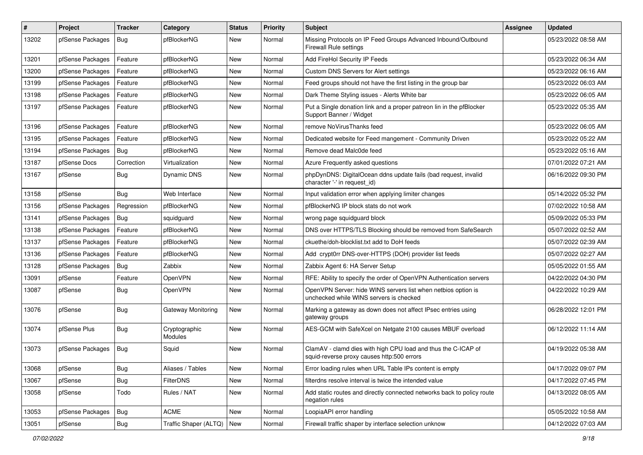| $\vert$ # | Project          | <b>Tracker</b> | Category                  | <b>Status</b> | <b>Priority</b> | Subject                                                                                                     | Assignee | <b>Updated</b>      |
|-----------|------------------|----------------|---------------------------|---------------|-----------------|-------------------------------------------------------------------------------------------------------------|----------|---------------------|
| 13202     | pfSense Packages | Bug            | pfBlockerNG               | <b>New</b>    | Normal          | Missing Protocols on IP Feed Groups Advanced Inbound/Outbound<br><b>Firewall Rule settings</b>              |          | 05/23/2022 08:58 AM |
| 13201     | pfSense Packages | Feature        | pfBlockerNG               | <b>New</b>    | Normal          | Add FireHol Security IP Feeds                                                                               |          | 05/23/2022 06:34 AM |
| 13200     | pfSense Packages | Feature        | pfBlockerNG               | New           | Normal          | Custom DNS Servers for Alert settings                                                                       |          | 05/23/2022 06:16 AM |
| 13199     | pfSense Packages | Feature        | pfBlockerNG               | <b>New</b>    | Normal          | Feed groups should not have the first listing in the group bar                                              |          | 05/23/2022 06:03 AM |
| 13198     | pfSense Packages | Feature        | pfBlockerNG               | New           | Normal          | Dark Theme Styling issues - Alerts White bar                                                                |          | 05/23/2022 06:05 AM |
| 13197     | pfSense Packages | Feature        | pfBlockerNG               | <b>New</b>    | Normal          | Put a Single donation link and a proper patreon lin in the pfBlocker<br>Support Banner / Widget             |          | 05/23/2022 05:35 AM |
| 13196     | pfSense Packages | Feature        | pfBlockerNG               | <b>New</b>    | Normal          | remove NoVirusThanks feed                                                                                   |          | 05/23/2022 06:05 AM |
| 13195     | pfSense Packages | Feature        | pfBlockerNG               | New           | Normal          | Dedicated website for Feed mangement - Community Driven                                                     |          | 05/23/2022 05:22 AM |
| 13194     | pfSense Packages | Bug            | pfBlockerNG               | <b>New</b>    | Normal          | Remove dead Malc0de feed                                                                                    |          | 05/23/2022 05:16 AM |
| 13187     | pfSense Docs     | Correction     | Virtualization            | New           | Normal          | Azure Frequently asked questions                                                                            |          | 07/01/2022 07:21 AM |
| 13167     | pfSense          | Bug            | Dynamic DNS               | <b>New</b>    | Normal          | phpDynDNS: DigitalOcean ddns update fails (bad request, invalid<br>character '-' in request id)             |          | 06/16/2022 09:30 PM |
| 13158     | pfSense          | Bug            | Web Interface             | <b>New</b>    | Normal          | Input validation error when applying limiter changes                                                        |          | 05/14/2022 05:32 PM |
| 13156     | pfSense Packages | Regression     | pfBlockerNG               | New           | Normal          | pfBlockerNG IP block stats do not work                                                                      |          | 07/02/2022 10:58 AM |
| 13141     | pfSense Packages | Bug            | squidguard                | New           | Normal          | wrong page squidguard block                                                                                 |          | 05/09/2022 05:33 PM |
| 13138     | pfSense Packages | Feature        | pfBlockerNG               | <b>New</b>    | Normal          | DNS over HTTPS/TLS Blocking should be removed from SafeSearch                                               |          | 05/07/2022 02:52 AM |
| 13137     | pfSense Packages | Feature        | pfBlockerNG               | <b>New</b>    | Normal          | ckuethe/doh-blocklist.txt add to DoH feeds                                                                  |          | 05/07/2022 02:39 AM |
| 13136     | pfSense Packages | Feature        | pfBlockerNG               | New           | Normal          | Add crypt0rr DNS-over-HTTPS (DOH) provider list feeds                                                       |          | 05/07/2022 02:27 AM |
| 13128     | pfSense Packages | Bug            | Zabbix                    | New           | Normal          | Zabbix Agent 6: HA Server Setup                                                                             |          | 05/05/2022 01:55 AM |
| 13091     | pfSense          | Feature        | OpenVPN                   | New           | Normal          | RFE: Ability to specify the order of OpenVPN Authentication servers                                         |          | 04/22/2022 04:30 PM |
| 13087     | pfSense          | Bug            | OpenVPN                   | <b>New</b>    | Normal          | OpenVPN Server: hide WINS servers list when netbios option is<br>unchecked while WINS servers is checked    |          | 04/22/2022 10:29 AM |
| 13076     | pfSense          | Bug            | Gateway Monitoring        | <b>New</b>    | Normal          | Marking a gateway as down does not affect IPsec entries using<br>gateway groups                             |          | 06/28/2022 12:01 PM |
| 13074     | pfSense Plus     | Bug            | Cryptographic<br>Modules  | <b>New</b>    | Normal          | AES-GCM with SafeXcel on Netgate 2100 causes MBUF overload                                                  |          | 06/12/2022 11:14 AM |
| 13073     | pfSense Packages | Bug            | Squid                     | <b>New</b>    | Normal          | ClamAV - clamd dies with high CPU load and thus the C-ICAP of<br>squid-reverse proxy causes http:500 errors |          | 04/19/2022 05:38 AM |
| 13068     | pfSense          | <b>Bug</b>     | Aliases / Tables          | <b>New</b>    | Normal          | Error loading rules when URL Table IPs content is empty                                                     |          | 04/17/2022 09:07 PM |
| 13067     | pfSense          | Bug            | <b>FilterDNS</b>          | New           | Normal          | filterdns resolve interval is twice the intended value                                                      |          | 04/17/2022 07:45 PM |
| 13058     | pfSense          | Todo           | Rules / NAT               | New           | Normal          | Add static routes and directly connected networks back to policy route<br>negation rules                    |          | 04/13/2022 08:05 AM |
| 13053     | pfSense Packages | Bug            | <b>ACME</b>               | New           | Normal          | LoopiaAPI error handling                                                                                    |          | 05/05/2022 10:58 AM |
| 13051     | pfSense          | Bug            | Traffic Shaper (ALTQ) New |               | Normal          | Firewall traffic shaper by interface selection unknow                                                       |          | 04/12/2022 07:03 AM |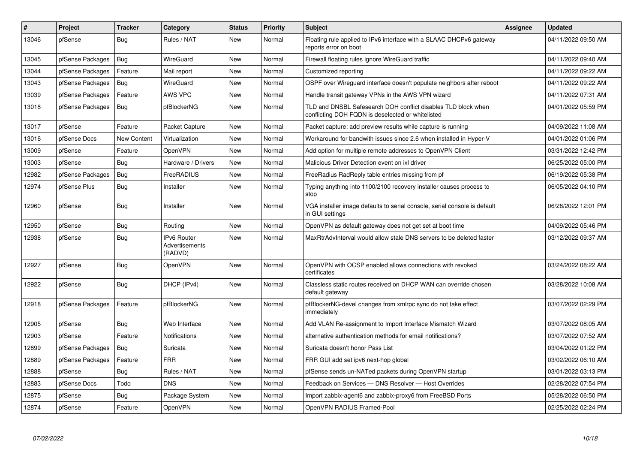| $\vert$ # | Project          | <b>Tracker</b> | Category                                 | <b>Status</b> | <b>Priority</b> | <b>Subject</b>                                                                                                     | Assignee | <b>Updated</b>      |
|-----------|------------------|----------------|------------------------------------------|---------------|-----------------|--------------------------------------------------------------------------------------------------------------------|----------|---------------------|
| 13046     | pfSense          | Bug            | Rules / NAT                              | <b>New</b>    | Normal          | Floating rule applied to IPv6 interface with a SLAAC DHCPv6 gateway<br>reports error on boot                       |          | 04/11/2022 09:50 AM |
| 13045     | pfSense Packages | Bug            | WireGuard                                | <b>New</b>    | Normal          | Firewall floating rules ignore WireGuard traffic                                                                   |          | 04/11/2022 09:40 AM |
| 13044     | pfSense Packages | Feature        | Mail report                              | <b>New</b>    | Normal          | Customized reporting                                                                                               |          | 04/11/2022 09:22 AM |
| 13043     | pfSense Packages | Bug            | WireGuard                                | <b>New</b>    | Normal          | OSPF over Wireguard interface doesn't populate neighbors after reboot                                              |          | 04/11/2022 09:22 AM |
| 13039     | pfSense Packages | Feature        | AWS VPC                                  | <b>New</b>    | Normal          | Handle transit gateway VPNs in the AWS VPN wizard                                                                  |          | 04/11/2022 07:31 AM |
| 13018     | pfSense Packages | Bug            | pfBlockerNG                              | <b>New</b>    | Normal          | TLD and DNSBL Safesearch DOH conflict disables TLD block when<br>conflicting DOH FQDN is deselected or whitelisted |          | 04/01/2022 05:59 PM |
| 13017     | pfSense          | Feature        | Packet Capture                           | <b>New</b>    | Normal          | Packet capture: add preview results while capture is running                                                       |          | 04/09/2022 11:08 AM |
| 13016     | pfSense Docs     | New Content    | Virtualization                           | <b>New</b>    | Normal          | Workaround for bandwith issues since 2.6 when installed in Hyper-V                                                 |          | 04/01/2022 01:06 PM |
| 13009     | pfSense          | Feature        | OpenVPN                                  | <b>New</b>    | Normal          | Add option for multiple remote addresses to OpenVPN Client                                                         |          | 03/31/2022 12:42 PM |
| 13003     | pfSense          | Bug            | Hardware / Drivers                       | <b>New</b>    | Normal          | Malicious Driver Detection event on ixl driver                                                                     |          | 06/25/2022 05:00 PM |
| 12982     | pfSense Packages | <b>Bug</b>     | FreeRADIUS                               | <b>New</b>    | Normal          | FreeRadius RadReply table entries missing from pf                                                                  |          | 06/19/2022 05:38 PM |
| 12974     | pfSense Plus     | Bug            | Installer                                | <b>New</b>    | Normal          | Typing anything into 1100/2100 recovery installer causes process to<br>stop                                        |          | 06/05/2022 04:10 PM |
| 12960     | pfSense          | <b>Bug</b>     | Installer                                | <b>New</b>    | Normal          | VGA installer image defaults to serial console, serial console is default<br>in GUI settings                       |          | 06/28/2022 12:01 PM |
| 12950     | pfSense          | <b>Bug</b>     | Routing                                  | <b>New</b>    | Normal          | OpenVPN as default gateway does not get set at boot time                                                           |          | 04/09/2022 05:46 PM |
| 12938     | pfSense          | <b>Bug</b>     | IPv6 Router<br>Advertisements<br>(RADVD) | <b>New</b>    | Normal          | MaxRtrAdvInterval would allow stale DNS servers to be deleted faster                                               |          | 03/12/2022 09:37 AM |
| 12927     | pfSense          | <b>Bug</b>     | OpenVPN                                  | <b>New</b>    | Normal          | OpenVPN with OCSP enabled allows connections with revoked<br>certificates                                          |          | 03/24/2022 08:22 AM |
| 12922     | pfSense          | Bug            | DHCP (IPv4)                              | <b>New</b>    | Normal          | Classless static routes received on DHCP WAN can override chosen<br>default gateway                                |          | 03/28/2022 10:08 AM |
| 12918     | pfSense Packages | Feature        | pfBlockerNG                              | <b>New</b>    | Normal          | pfBlockerNG-devel changes from xmlrpc sync do not take effect<br>immediately                                       |          | 03/07/2022 02:29 PM |
| 12905     | pfSense          | Bug            | Web Interface                            | <b>New</b>    | Normal          | Add VLAN Re-assignment to Import Interface Mismatch Wizard                                                         |          | 03/07/2022 08:05 AM |
| 12903     | pfSense          | Feature        | <b>Notifications</b>                     | <b>New</b>    | Normal          | alternative authentication methods for email notifications?                                                        |          | 03/07/2022 07:52 AM |
| 12899     | pfSense Packages | <b>Bug</b>     | Suricata                                 | <b>New</b>    | Normal          | Suricata doesn't honor Pass List                                                                                   |          | 03/04/2022 01:22 PM |
| 12889     | pfSense Packages | Feature        | <b>FRR</b>                               | <b>New</b>    | Normal          | FRR GUI add set ipv6 next-hop global                                                                               |          | 03/02/2022 06:10 AM |
| 12888     | pfSense          | <b>Bug</b>     | Rules / NAT                              | <b>New</b>    | Normal          | pfSense sends un-NATed packets during OpenVPN startup                                                              |          | 03/01/2022 03:13 PM |
| 12883     | pfSense Docs     | Todo           | <b>DNS</b>                               | <b>New</b>    | Normal          | Feedback on Services - DNS Resolver - Host Overrides                                                               |          | 02/28/2022 07:54 PM |
| 12875     | pfSense          | Bug            | Package System                           | <b>New</b>    | Normal          | Import zabbix-agent6 and zabbix-proxy6 from FreeBSD Ports                                                          |          | 05/28/2022 06:50 PM |
| 12874     | pfSense          | Feature        | OpenVPN                                  | <b>New</b>    | Normal          | OpenVPN RADIUS Framed-Pool                                                                                         |          | 02/25/2022 02:24 PM |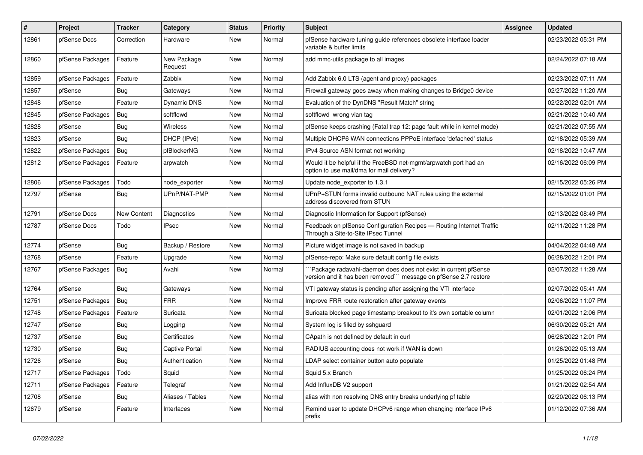| #     | <b>Project</b>   | <b>Tracker</b>     | Category               | <b>Status</b> | <b>Priority</b> | <b>Subject</b>                                                                                                                      | Assignee | <b>Updated</b>      |
|-------|------------------|--------------------|------------------------|---------------|-----------------|-------------------------------------------------------------------------------------------------------------------------------------|----------|---------------------|
| 12861 | pfSense Docs     | Correction         | Hardware               | <b>New</b>    | Normal          | pfSense hardware tuning guide references obsolete interface loader<br>variable & buffer limits                                      |          | 02/23/2022 05:31 PM |
| 12860 | pfSense Packages | Feature            | New Package<br>Request | <b>New</b>    | Normal          | add mmc-utils package to all images                                                                                                 |          | 02/24/2022 07:18 AM |
| 12859 | pfSense Packages | Feature            | Zabbix                 | <b>New</b>    | Normal          | Add Zabbix 6.0 LTS (agent and proxy) packages                                                                                       |          | 02/23/2022 07:11 AM |
| 12857 | pfSense          | Bug                | Gateways               | <b>New</b>    | Normal          | Firewall gateway goes away when making changes to Bridge0 device                                                                    |          | 02/27/2022 11:20 AM |
| 12848 | pfSense          | Feature            | <b>Dynamic DNS</b>     | <b>New</b>    | Normal          | Evaluation of the DynDNS "Result Match" string                                                                                      |          | 02/22/2022 02:01 AM |
| 12845 | pfSense Packages | Bug                | softflowd              | <b>New</b>    | Normal          | softflowd wrong vlan tag                                                                                                            |          | 02/21/2022 10:40 AM |
| 12828 | pfSense          | Bug                | Wireless               | <b>New</b>    | Normal          | pfSense keeps crashing (Fatal trap 12: page fault while in kernel mode)                                                             |          | 02/21/2022 07:55 AM |
| 12823 | pfSense          | Bug                | DHCP (IPv6)            | <b>New</b>    | Normal          | Multiple DHCP6 WAN connections PPPoE interface 'defached' status                                                                    |          | 02/18/2022 05:39 AM |
| 12822 | pfSense Packages | Bug                | pfBlockerNG            | New           | Normal          | IPv4 Source ASN format not working                                                                                                  |          | 02/18/2022 10:47 AM |
| 12812 | pfSense Packages | Feature            | arpwatch               | <b>New</b>    | Normal          | Would it be helpful if the FreeBSD net-mgmt/arpwatch port had an<br>option to use mail/dma for mail delivery?                       |          | 02/16/2022 06:09 PM |
| 12806 | pfSense Packages | Todo               | node exporter          | <b>New</b>    | Normal          | Update node exporter to 1.3.1                                                                                                       |          | 02/15/2022 05:26 PM |
| 12797 | pfSense          | Bug                | UPnP/NAT-PMP           | <b>New</b>    | Normal          | UPnP+STUN forms invalid outbound NAT rules using the external<br>address discovered from STUN                                       |          | 02/15/2022 01:01 PM |
| 12791 | pfSense Docs     | <b>New Content</b> | Diagnostics            | <b>New</b>    | Normal          | Diagnostic Information for Support (pfSense)                                                                                        |          | 02/13/2022 08:49 PM |
| 12787 | pfSense Docs     | Todo               | <b>IPsec</b>           | <b>New</b>    | Normal          | Feedback on pfSense Configuration Recipes - Routing Internet Traffic<br>Through a Site-to-Site IPsec Tunnel                         |          | 02/11/2022 11:28 PM |
| 12774 | pfSense          | Bug                | Backup / Restore       | <b>New</b>    | Normal          | Picture widget image is not saved in backup                                                                                         |          | 04/04/2022 04:48 AM |
| 12768 | pfSense          | Feature            | Upgrade                | New           | Normal          | pfSense-repo: Make sure default config file exists                                                                                  |          | 06/28/2022 12:01 PM |
| 12767 | pfSense Packages | Bug                | Avahi                  | <b>New</b>    | Normal          | Package radavahi-daemon does does not exist in current pfSense<br>version and it has been removed``` message on pfSense 2.7 restore |          | 02/07/2022 11:28 AM |
| 12764 | pfSense          | Bug                | Gateways               | New           | Normal          | VTI gateway status is pending after assigning the VTI interface                                                                     |          | 02/07/2022 05:41 AM |
| 12751 | pfSense Packages | Bug                | <b>FRR</b>             | <b>New</b>    | Normal          | Improve FRR route restoration after gateway events                                                                                  |          | 02/06/2022 11:07 PM |
| 12748 | pfSense Packages | Feature            | Suricata               | New           | Normal          | Suricata blocked page timestamp breakout to it's own sortable column                                                                |          | 02/01/2022 12:06 PM |
| 12747 | pfSense          | <b>Bug</b>         | Logging                | <b>New</b>    | Normal          | System log is filled by sshguard                                                                                                    |          | 06/30/2022 05:21 AM |
| 12737 | pfSense          | <b>Bug</b>         | Certificates           | <b>New</b>    | Normal          | CApath is not defined by default in curl                                                                                            |          | 06/28/2022 12:01 PM |
| 12730 | pfSense          | Bug                | <b>Captive Portal</b>  | <b>New</b>    | Normal          | RADIUS accounting does not work if WAN is down                                                                                      |          | 01/26/2022 05:13 AM |
| 12726 | pfSense          | Bug                | Authentication         | <b>New</b>    | Normal          | LDAP select container button auto populate                                                                                          |          | 01/25/2022 01:48 PM |
| 12717 | pfSense Packages | Todo               | Squid                  | <b>New</b>    | Normal          | Squid 5.x Branch                                                                                                                    |          | 01/25/2022 06:24 PM |
| 12711 | pfSense Packages | Feature            | Telegraf               | <b>New</b>    | Normal          | Add InfluxDB V2 support                                                                                                             |          | 01/21/2022 02:54 AM |
| 12708 | pfSense          | Bug                | Aliases / Tables       | <b>New</b>    | Normal          | alias with non resolving DNS entry breaks underlying pf table                                                                       |          | 02/20/2022 06:13 PM |
| 12679 | pfSense          | Feature            | Interfaces             | <b>New</b>    | Normal          | Remind user to update DHCPv6 range when changing interface IPv6<br>prefix                                                           |          | 01/12/2022 07:36 AM |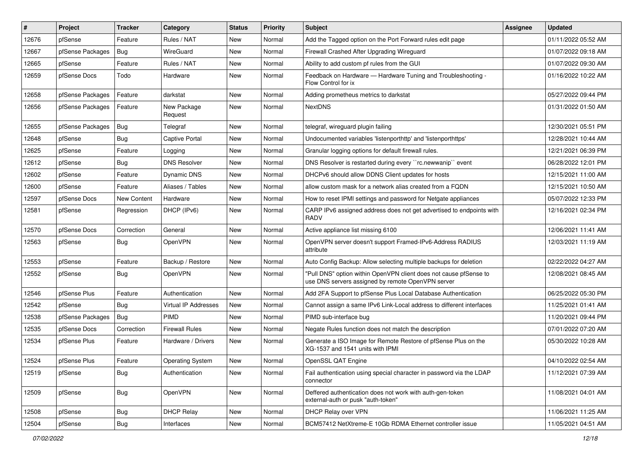| $\vert$ # | Project          | <b>Tracker</b> | Category                | <b>Status</b> | <b>Priority</b> | Subject                                                                                                                | <b>Assignee</b> | <b>Updated</b>      |
|-----------|------------------|----------------|-------------------------|---------------|-----------------|------------------------------------------------------------------------------------------------------------------------|-----------------|---------------------|
| 12676     | pfSense          | Feature        | Rules / NAT             | New           | Normal          | Add the Tagged option on the Port Forward rules edit page                                                              |                 | 01/11/2022 05:52 AM |
| 12667     | pfSense Packages | <b>Bug</b>     | WireGuard               | New           | Normal          | Firewall Crashed After Upgrading Wireguard                                                                             |                 | 01/07/2022 09:18 AM |
| 12665     | pfSense          | Feature        | Rules / NAT             | New           | Normal          | Ability to add custom of rules from the GUI                                                                            |                 | 01/07/2022 09:30 AM |
| 12659     | pfSense Docs     | Todo           | Hardware                | New           | Normal          | Feedback on Hardware - Hardware Tuning and Troubleshooting -<br>Flow Control for ix                                    |                 | 01/16/2022 10:22 AM |
| 12658     | pfSense Packages | Feature        | darkstat                | <b>New</b>    | Normal          | Adding prometheus metrics to darkstat                                                                                  |                 | 05/27/2022 09:44 PM |
| 12656     | pfSense Packages | Feature        | New Package<br>Request  | New           | Normal          | <b>NextDNS</b>                                                                                                         |                 | 01/31/2022 01:50 AM |
| 12655     | pfSense Packages | Bug            | Telegraf                | <b>New</b>    | Normal          | telegraf, wireguard plugin failing                                                                                     |                 | 12/30/2021 05:51 PM |
| 12648     | pfSense          | <b>Bug</b>     | <b>Captive Portal</b>   | New           | Normal          | Undocumented variables 'listenporthttp' and 'listenporthttps'                                                          |                 | 12/28/2021 10:44 AM |
| 12625     | pfSense          | Feature        | Logging                 | New           | Normal          | Granular logging options for default firewall rules.                                                                   |                 | 12/21/2021 06:39 PM |
| 12612     | pfSense          | <b>Bug</b>     | <b>DNS Resolver</b>     | New           | Normal          | DNS Resolver is restarted during every "rc.newwanip" event                                                             |                 | 06/28/2022 12:01 PM |
| 12602     | pfSense          | Feature        | Dynamic DNS             | <b>New</b>    | Normal          | DHCPv6 should allow DDNS Client updates for hosts                                                                      |                 | 12/15/2021 11:00 AM |
| 12600     | pfSense          | Feature        | Aliases / Tables        | <b>New</b>    | Normal          | allow custom mask for a network alias created from a FQDN                                                              |                 | 12/15/2021 10:50 AM |
| 12597     | pfSense Docs     | New Content    | Hardware                | New           | Normal          | How to reset IPMI settings and password for Netgate appliances                                                         |                 | 05/07/2022 12:33 PM |
| 12581     | pfSense          | Regression     | DHCP (IPv6)             | New           | Normal          | CARP IPv6 assigned address does not get advertised to endpoints with<br><b>RADV</b>                                    |                 | 12/16/2021 02:34 PM |
| 12570     | pfSense Docs     | Correction     | General                 | <b>New</b>    | Normal          | Active appliance list missing 6100                                                                                     |                 | 12/06/2021 11:41 AM |
| 12563     | pfSense          | Bug            | OpenVPN                 | <b>New</b>    | Normal          | OpenVPN server doesn't support Framed-IPv6-Address RADIUS<br>attribute                                                 |                 | 12/03/2021 11:19 AM |
| 12553     | pfSense          | Feature        | Backup / Restore        | <b>New</b>    | Normal          | Auto Config Backup: Allow selecting multiple backups for deletion                                                      |                 | 02/22/2022 04:27 AM |
| 12552     | pfSense          | <b>Bug</b>     | OpenVPN                 | <b>New</b>    | Normal          | "Pull DNS" option within OpenVPN client does not cause pfSense to<br>use DNS servers assigned by remote OpenVPN server |                 | 12/08/2021 08:45 AM |
| 12546     | pfSense Plus     | Feature        | Authentication          | <b>New</b>    | Normal          | Add 2FA Support to pfSense Plus Local Database Authentication                                                          |                 | 06/25/2022 05:30 PM |
| 12542     | pfSense          | <b>Bug</b>     | Virtual IP Addresses    | <b>New</b>    | Normal          | Cannot assign a same IPv6 Link-Local address to different interfaces                                                   |                 | 11/25/2021 01:41 AM |
| 12538     | pfSense Packages | Bug            | PIMD                    | <b>New</b>    | Normal          | PIMD sub-interface bug                                                                                                 |                 | 11/20/2021 09:44 PM |
| 12535     | pfSense Docs     | Correction     | <b>Firewall Rules</b>   | <b>New</b>    | Normal          | Negate Rules function does not match the description                                                                   |                 | 07/01/2022 07:20 AM |
| 12534     | pfSense Plus     | Feature        | Hardware / Drivers      | New           | Normal          | Generate a ISO Image for Remote Restore of pfSense Plus on the<br>XG-1537 and 1541 units with IPMI                     |                 | 05/30/2022 10:28 AM |
| 12524     | pfSense Plus     | Feature        | <b>Operating System</b> | New           | Normal          | OpenSSL QAT Engine                                                                                                     |                 | 04/10/2022 02:54 AM |
| 12519     | pfSense          | Bug            | Authentication          | New           | Normal          | Fail authentication using special character in password via the LDAP<br>connector                                      |                 | 11/12/2021 07:39 AM |
| 12509     | pfSense          | <b>Bug</b>     | OpenVPN                 | New           | Normal          | Deffered authentication does not work with auth-gen-token<br>external-auth or pusk "auth-token"                        |                 | 11/08/2021 04:01 AM |
| 12508     | pfSense          | <b>Bug</b>     | <b>DHCP Relay</b>       | New           | Normal          | DHCP Relay over VPN                                                                                                    |                 | 11/06/2021 11:25 AM |
| 12504     | pfSense          | <b>Bug</b>     | Interfaces              | New           | Normal          | BCM57412 NetXtreme-E 10Gb RDMA Ethernet controller issue                                                               |                 | 11/05/2021 04:51 AM |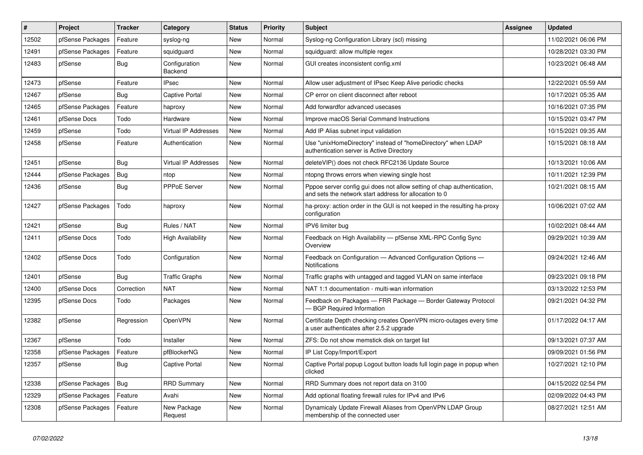| ∦     | Project          | <b>Tracker</b> | Category                    | <b>Status</b> | <b>Priority</b> | <b>Subject</b>                                                                                                                   | Assignee | <b>Updated</b>      |
|-------|------------------|----------------|-----------------------------|---------------|-----------------|----------------------------------------------------------------------------------------------------------------------------------|----------|---------------------|
| 12502 | pfSense Packages | Feature        | syslog-ng                   | <b>New</b>    | Normal          | Syslog-ng Configuration Library (scl) missing                                                                                    |          | 11/02/2021 06:06 PM |
| 12491 | pfSense Packages | Feature        | squidguard                  | <b>New</b>    | Normal          | squidguard: allow multiple regex                                                                                                 |          | 10/28/2021 03:30 PM |
| 12483 | pfSense          | Bug            | Configuration<br>Backend    | New           | Normal          | GUI creates inconsistent config.xml                                                                                              |          | 10/23/2021 06:48 AM |
| 12473 | pfSense          | Feature        | <b>IPsec</b>                | New           | Normal          | Allow user adjustment of IPsec Keep Alive periodic checks                                                                        |          | 12/22/2021 05:59 AM |
| 12467 | pfSense          | Bug            | <b>Captive Portal</b>       | New           | Normal          | CP error on client disconnect after reboot                                                                                       |          | 10/17/2021 05:35 AM |
| 12465 | pfSense Packages | Feature        | haproxy                     | New           | Normal          | Add forwardfor advanced usecases                                                                                                 |          | 10/16/2021 07:35 PM |
| 12461 | pfSense Docs     | Todo           | Hardware                    | New           | Normal          | Improve macOS Serial Command Instructions                                                                                        |          | 10/15/2021 03:47 PM |
| 12459 | pfSense          | Todo           | <b>Virtual IP Addresses</b> | <b>New</b>    | Normal          | Add IP Alias subnet input validation                                                                                             |          | 10/15/2021 09:35 AM |
| 12458 | pfSense          | Feature        | Authentication              | New           | Normal          | Use "unixHomeDirectory" instead of "homeDirectory" when LDAP<br>authentication server is Active Directory                        |          | 10/15/2021 08:18 AM |
| 12451 | pfSense          | Bug            | <b>Virtual IP Addresses</b> | <b>New</b>    | Normal          | deleteVIP() does not check RFC2136 Update Source                                                                                 |          | 10/13/2021 10:06 AM |
| 12444 | pfSense Packages | Bug            | ntop                        | <b>New</b>    | Normal          | ntopng throws errors when viewing single host                                                                                    |          | 10/11/2021 12:39 PM |
| 12436 | pfSense          | <b>Bug</b>     | <b>PPPoE Server</b>         | <b>New</b>    | Normal          | Pppoe server config gui does not allow setting of chap authentication,<br>and sets the network start address for allocation to 0 |          | 10/21/2021 08:15 AM |
| 12427 | pfSense Packages | Todo           | haproxy                     | New           | Normal          | ha-proxy: action order in the GUI is not keeped in the resulting ha-proxy<br>configuration                                       |          | 10/06/2021 07:02 AM |
| 12421 | pfSense          | Bug            | Rules / NAT                 | New           | Normal          | IPV6 limiter bug                                                                                                                 |          | 10/02/2021 08:44 AM |
| 12411 | pfSense Docs     | Todo           | <b>High Availability</b>    | New           | Normal          | Feedback on High Availability - pfSense XML-RPC Config Sync<br>Overview                                                          |          | 09/29/2021 10:39 AM |
| 12402 | pfSense Docs     | Todo           | Configuration               | New           | Normal          | Feedback on Configuration - Advanced Configuration Options -<br><b>Notifications</b>                                             |          | 09/24/2021 12:46 AM |
| 12401 | pfSense          | Bug            | <b>Traffic Graphs</b>       | New           | Normal          | Traffic graphs with untagged and tagged VLAN on same interface                                                                   |          | 09/23/2021 09:18 PM |
| 12400 | pfSense Docs     | Correction     | <b>NAT</b>                  | New           | Normal          | NAT 1:1 documentation - multi-wan information                                                                                    |          | 03/13/2022 12:53 PM |
| 12395 | pfSense Docs     | Todo           | Packages                    | New           | Normal          | Feedback on Packages - FRR Package - Border Gateway Protocol<br>- BGP Required Information                                       |          | 09/21/2021 04:32 PM |
| 12382 | pfSense          | Regression     | OpenVPN                     | <b>New</b>    | Normal          | Certificate Depth checking creates OpenVPN micro-outages every time<br>a user authenticates after 2.5.2 upgrade                  |          | 01/17/2022 04:17 AM |
| 12367 | pfSense          | Todo           | Installer                   | <b>New</b>    | Normal          | ZFS: Do not show memstick disk on target list                                                                                    |          | 09/13/2021 07:37 AM |
| 12358 | pfSense Packages | Feature        | pfBlockerNG                 | New           | Normal          | IP List Copy/Import/Export                                                                                                       |          | 09/09/2021 01:56 PM |
| 12357 | pfSense          | <b>Bug</b>     | Captive Portal              | New           | Normal          | Captive Portal popup Logout button loads full login page in popup when<br>clicked                                                |          | 10/27/2021 12:10 PM |
| 12338 | pfSense Packages | <b>Bug</b>     | <b>RRD Summary</b>          | New           | Normal          | RRD Summary does not report data on 3100                                                                                         |          | 04/15/2022 02:54 PM |
| 12329 | pfSense Packages | Feature        | Avahi                       | New           | Normal          | Add optional floating firewall rules for IPv4 and IPv6                                                                           |          | 02/09/2022 04:43 PM |
| 12308 | pfSense Packages | Feature        | New Package<br>Request      | New           | Normal          | Dynamicaly Update Firewall Aliases from OpenVPN LDAP Group<br>membership of the connected user                                   |          | 08/27/2021 12:51 AM |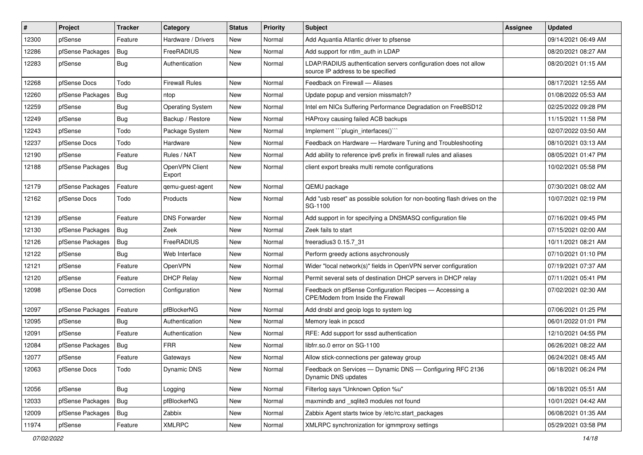| $\vert$ # | Project          | <b>Tracker</b> | Category                 | <b>Status</b> | <b>Priority</b> | Subject                                                                                              | <b>Assignee</b> | <b>Updated</b>      |
|-----------|------------------|----------------|--------------------------|---------------|-----------------|------------------------------------------------------------------------------------------------------|-----------------|---------------------|
| 12300     | pfSense          | Feature        | Hardware / Drivers       | New           | Normal          | Add Aquantia Atlantic driver to pfsense                                                              |                 | 09/14/2021 06:49 AM |
| 12286     | pfSense Packages | Bug            | FreeRADIUS               | <b>New</b>    | Normal          | Add support for ntlm_auth in LDAP                                                                    |                 | 08/20/2021 08:27 AM |
| 12283     | pfSense          | Bug            | Authentication           | New           | Normal          | LDAP/RADIUS authentication servers configuration does not allow<br>source IP address to be specified |                 | 08/20/2021 01:15 AM |
| 12268     | pfSense Docs     | Todo           | <b>Firewall Rules</b>    | <b>New</b>    | Normal          | Feedback on Firewall - Aliases                                                                       |                 | 08/17/2021 12:55 AM |
| 12260     | pfSense Packages | <b>Bug</b>     | ntop                     | New           | Normal          | Update popup and version missmatch?                                                                  |                 | 01/08/2022 05:53 AM |
| 12259     | pfSense          | Bug            | <b>Operating System</b>  | <b>New</b>    | Normal          | Intel em NICs Suffering Performance Degradation on FreeBSD12                                         |                 | 02/25/2022 09:28 PM |
| 12249     | pfSense          | Bug            | Backup / Restore         | <b>New</b>    | Normal          | HAProxy causing failed ACB backups                                                                   |                 | 11/15/2021 11:58 PM |
| 12243     | pfSense          | Todo           | Package System           | New           | Normal          | Implement "plugin_interfaces()"                                                                      |                 | 02/07/2022 03:50 AM |
| 12237     | pfSense Docs     | Todo           | Hardware                 | <b>New</b>    | Normal          | Feedback on Hardware - Hardware Tuning and Troubleshooting                                           |                 | 08/10/2021 03:13 AM |
| 12190     | pfSense          | Feature        | Rules / NAT              | New           | Normal          | Add ability to reference ipv6 prefix in firewall rules and aliases                                   |                 | 08/05/2021 01:47 PM |
| 12188     | pfSense Packages | Bug            | OpenVPN Client<br>Export | <b>New</b>    | Normal          | client export breaks multi remote configurations                                                     |                 | 10/02/2021 05:58 PM |
| 12179     | pfSense Packages | Feature        | gemu-guest-agent         | <b>New</b>    | Normal          | QEMU package                                                                                         |                 | 07/30/2021 08:02 AM |
| 12162     | pfSense Docs     | Todo           | Products                 | New           | Normal          | Add "usb reset" as possible solution for non-booting flash drives on the<br>SG-1100                  |                 | 10/07/2021 02:19 PM |
| 12139     | pfSense          | Feature        | <b>DNS Forwarder</b>     | <b>New</b>    | Normal          | Add support in for specifying a DNSMASQ configuration file                                           |                 | 07/16/2021 09:45 PM |
| 12130     | pfSense Packages | Bug            | Zeek                     | <b>New</b>    | Normal          | Zeek fails to start                                                                                  |                 | 07/15/2021 02:00 AM |
| 12126     | pfSense Packages | Bug            | FreeRADIUS               | New           | Normal          | freeradius3 0.15.7 31                                                                                |                 | 10/11/2021 08:21 AM |
| 12122     | pfSense          | <b>Bug</b>     | Web Interface            | <b>New</b>    | Normal          | Perform greedy actions asychronously                                                                 |                 | 07/10/2021 01:10 PM |
| 12121     | pfSense          | Feature        | OpenVPN                  | <b>New</b>    | Normal          | Wider "local network(s)" fields in OpenVPN server configuration                                      |                 | 07/19/2021 07:37 AM |
| 12120     | pfSense          | Feature        | <b>DHCP Relay</b>        | New           | Normal          | Permit several sets of destination DHCP servers in DHCP relay                                        |                 | 07/11/2021 05:41 PM |
| 12098     | pfSense Docs     | Correction     | Configuration            | New           | Normal          | Feedback on pfSense Configuration Recipes - Accessing a<br>CPE/Modem from Inside the Firewall        |                 | 07/02/2021 02:30 AM |
| 12097     | pfSense Packages | Feature        | pfBlockerNG              | New           | Normal          | Add dnsbl and geoip logs to system log                                                               |                 | 07/06/2021 01:25 PM |
| 12095     | pfSense          | <b>Bug</b>     | Authentication           | New           | Normal          | Memory leak in pcscd                                                                                 |                 | 06/01/2022 01:01 PM |
| 12091     | pfSense          | Feature        | Authentication           | New           | Normal          | RFE: Add support for sssd authentication                                                             |                 | 12/10/2021 04:55 PM |
| 12084     | pfSense Packages | Bug            | <b>FRR</b>               | New           | Normal          | libfrr.so.0 error on SG-1100                                                                         |                 | 06/26/2021 08:22 AM |
| 12077     | pfSense          | Feature        | Gateways                 | <b>New</b>    | Normal          | Allow stick-connections per gateway group                                                            |                 | 06/24/2021 08:45 AM |
| 12063     | pfSense Docs     | Todo           | Dynamic DNS              | New           | Normal          | Feedback on Services - Dynamic DNS - Configuring RFC 2136<br>Dynamic DNS updates                     |                 | 06/18/2021 06:24 PM |
| 12056     | pfSense          | <b>Bug</b>     | Logging                  | New           | Normal          | Filterlog says "Unknown Option %u"                                                                   |                 | 06/18/2021 05:51 AM |
| 12033     | pfSense Packages | <b>Bug</b>     | pfBlockerNG              | New           | Normal          | maxmindb and _sqlite3 modules not found                                                              |                 | 10/01/2021 04:42 AM |
| 12009     | pfSense Packages | <b>Bug</b>     | Zabbix                   | New           | Normal          | Zabbix Agent starts twice by /etc/rc.start_packages                                                  |                 | 06/08/2021 01:35 AM |
| 11974     | pfSense          | Feature        | <b>XMLRPC</b>            | New           | Normal          | XMLRPC synchronization for igmmproxy settings                                                        |                 | 05/29/2021 03:58 PM |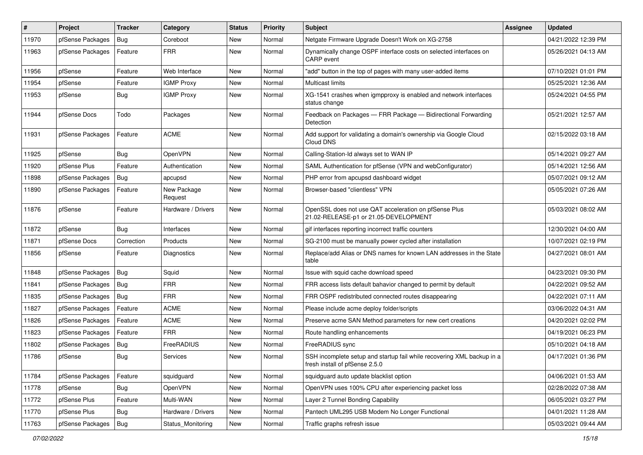| #     | Project          | <b>Tracker</b> | Category               | <b>Status</b> | <b>Priority</b> | Subject                                                                                                  | Assignee | <b>Updated</b>      |
|-------|------------------|----------------|------------------------|---------------|-----------------|----------------------------------------------------------------------------------------------------------|----------|---------------------|
| 11970 | pfSense Packages | <b>Bug</b>     | Coreboot               | New           | Normal          | Netgate Firmware Upgrade Doesn't Work on XG-2758                                                         |          | 04/21/2022 12:39 PM |
| 11963 | pfSense Packages | Feature        | <b>FRR</b>             | New           | Normal          | Dynamically change OSPF interface costs on selected interfaces on<br><b>CARP</b> event                   |          | 05/26/2021 04:13 AM |
| 11956 | pfSense          | Feature        | Web Interface          | <b>New</b>    | Normal          | "add" button in the top of pages with many user-added items                                              |          | 07/10/2021 01:01 PM |
| 11954 | pfSense          | Feature        | <b>IGMP Proxy</b>      | New           | Normal          | Multicast limits                                                                                         |          | 05/25/2021 12:36 AM |
| 11953 | pfSense          | Bug            | <b>IGMP Proxy</b>      | New           | Normal          | XG-1541 crashes when igmpproxy is enabled and network interfaces<br>status change                        |          | 05/24/2021 04:55 PM |
| 11944 | pfSense Docs     | Todo           | Packages               | New           | Normal          | Feedback on Packages - FRR Package - Bidirectional Forwarding<br>Detection                               |          | 05/21/2021 12:57 AM |
| 11931 | pfSense Packages | Feature        | <b>ACME</b>            | New           | Normal          | Add support for validating a domain's ownership via Google Cloud<br>Cloud DNS                            |          | 02/15/2022 03:18 AM |
| 11925 | pfSense          | <b>Bug</b>     | OpenVPN                | New           | Normal          | Calling-Station-Id always set to WAN IP                                                                  |          | 05/14/2021 09:27 AM |
| 11920 | pfSense Plus     | Feature        | Authentication         | New           | Normal          | SAML Authentication for pfSense (VPN and webConfigurator)                                                |          | 05/14/2021 12:56 AM |
| 11898 | pfSense Packages | Bug            | apcupsd                | New           | Normal          | PHP error from apcupsd dashboard widget                                                                  |          | 05/07/2021 09:12 AM |
| 11890 | pfSense Packages | Feature        | New Package<br>Request | New           | Normal          | Browser-based "clientless" VPN                                                                           |          | 05/05/2021 07:26 AM |
| 11876 | pfSense          | Feature        | Hardware / Drivers     | New           | Normal          | OpenSSL does not use QAT acceleration on pfSense Plus<br>21.02-RELEASE-p1 or 21.05-DEVELOPMENT           |          | 05/03/2021 08:02 AM |
| 11872 | pfSense          | Bug            | Interfaces             | New           | Normal          | gif interfaces reporting incorrect traffic counters                                                      |          | 12/30/2021 04:00 AM |
| 11871 | pfSense Docs     | Correction     | Products               | New           | Normal          | SG-2100 must be manually power cycled after installation                                                 |          | 10/07/2021 02:19 PM |
| 11856 | pfSense          | Feature        | Diagnostics            | New           | Normal          | Replace/add Alias or DNS names for known LAN addresses in the State<br>table                             |          | 04/27/2021 08:01 AM |
| 11848 | pfSense Packages | Bug            | Squid                  | <b>New</b>    | Normal          | Issue with squid cache download speed                                                                    |          | 04/23/2021 09:30 PM |
| 11841 | pfSense Packages | Bug            | <b>FRR</b>             | New           | Normal          | FRR access lists default bahavior changed to permit by default                                           |          | 04/22/2021 09:52 AM |
| 11835 | pfSense Packages | <b>Bug</b>     | <b>FRR</b>             | New           | Normal          | FRR OSPF redistributed connected routes disappearing                                                     |          | 04/22/2021 07:11 AM |
| 11827 | pfSense Packages | Feature        | <b>ACME</b>            | New           | Normal          | Please include acme deploy folder/scripts                                                                |          | 03/06/2022 04:31 AM |
| 11826 | pfSense Packages | Feature        | <b>ACME</b>            | New           | Normal          | Preserve acme SAN Method parameters for new cert creations                                               |          | 04/20/2021 02:02 PM |
| 11823 | pfSense Packages | Feature        | <b>FRR</b>             | New           | Normal          | Route handling enhancements                                                                              |          | 04/19/2021 06:23 PM |
| 11802 | pfSense Packages | Bug            | FreeRADIUS             | New           | Normal          | FreeRADIUS sync                                                                                          |          | 05/10/2021 04:18 AM |
| 11786 | pfSense          | Bug            | Services               | New           | Normal          | SSH incomplete setup and startup fail while recovering XML backup in a<br>fresh install of pfSense 2.5.0 |          | 04/17/2021 01:36 PM |
| 11784 | pfSense Packages | Feature        | squidguard             | <b>New</b>    | Normal          | squidguard auto update blacklist option                                                                  |          | 04/06/2021 01:53 AM |
| 11778 | pfSense          | Bug            | OpenVPN                | New           | Normal          | OpenVPN uses 100% CPU after experiencing packet loss                                                     |          | 02/28/2022 07:38 AM |
| 11772 | pfSense Plus     | Feature        | Multi-WAN              | New           | Normal          | Layer 2 Tunnel Bonding Capability                                                                        |          | 06/05/2021 03:27 PM |
| 11770 | pfSense Plus     | Bug            | Hardware / Drivers     | New           | Normal          | Pantech UML295 USB Modem No Longer Functional                                                            |          | 04/01/2021 11:28 AM |
| 11763 | pfSense Packages | Bug            | Status_Monitoring      | New           | Normal          | Traffic graphs refresh issue                                                                             |          | 05/03/2021 09:44 AM |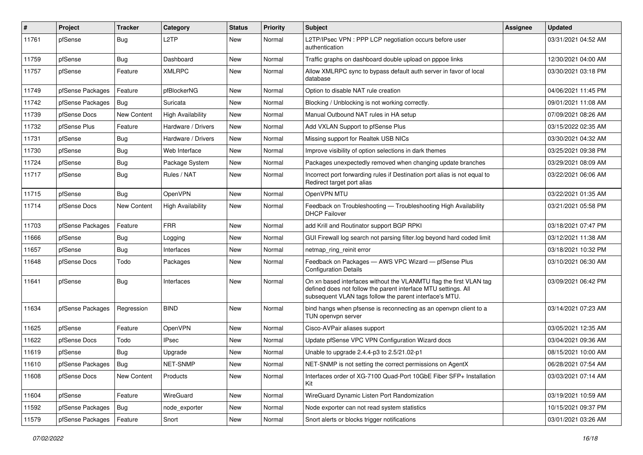| #     | Project          | <b>Tracker</b> | Category                 | <b>Status</b> | <b>Priority</b> | <b>Subject</b>                                                                                                                                                                                  | Assignee | <b>Updated</b>      |
|-------|------------------|----------------|--------------------------|---------------|-----------------|-------------------------------------------------------------------------------------------------------------------------------------------------------------------------------------------------|----------|---------------------|
| 11761 | pfSense          | Bug            | L2TP                     | New           | Normal          | L2TP/IPsec VPN : PPP LCP negotiation occurs before user<br>authentication                                                                                                                       |          | 03/31/2021 04:52 AM |
| 11759 | pfSense          | <b>Bug</b>     | Dashboard                | New           | Normal          | Traffic graphs on dashboard double upload on pppoe links                                                                                                                                        |          | 12/30/2021 04:00 AM |
| 11757 | pfSense          | Feature        | <b>XMLRPC</b>            | New           | Normal          | Allow XMLRPC sync to bypass default auth server in favor of local<br>database                                                                                                                   |          | 03/30/2021 03:18 PM |
| 11749 | pfSense Packages | Feature        | pfBlockerNG              | New           | Normal          | Option to disable NAT rule creation                                                                                                                                                             |          | 04/06/2021 11:45 PM |
| 11742 | pfSense Packages | <b>Bug</b>     | Suricata                 | New           | Normal          | Blocking / Unblocking is not working correctly.                                                                                                                                                 |          | 09/01/2021 11:08 AM |
| 11739 | pfSense Docs     | New Content    | <b>High Availability</b> | New           | Normal          | Manual Outbound NAT rules in HA setup                                                                                                                                                           |          | 07/09/2021 08:26 AM |
| 11732 | pfSense Plus     | Feature        | Hardware / Drivers       | New           | Normal          | Add VXLAN Support to pfSense Plus                                                                                                                                                               |          | 03/15/2022 02:35 AM |
| 11731 | pfSense          | <b>Bug</b>     | Hardware / Drivers       | New           | Normal          | Missing support for Realtek USB NICs                                                                                                                                                            |          | 03/30/2021 04:32 AM |
| 11730 | pfSense          | <b>Bug</b>     | Web Interface            | New           | Normal          | Improve visibility of option selections in dark themes                                                                                                                                          |          | 03/25/2021 09:38 PM |
| 11724 | pfSense          | <b>Bug</b>     | Package System           | New           | Normal          | Packages unexpectedly removed when changing update branches                                                                                                                                     |          | 03/29/2021 08:09 AM |
| 11717 | pfSense          | Bug            | Rules / NAT              | New           | Normal          | Incorrect port forwarding rules if Destination port alias is not equal to<br>Redirect target port alias                                                                                         |          | 03/22/2021 06:06 AM |
| 11715 | pfSense          | <b>Bug</b>     | OpenVPN                  | New           | Normal          | OpenVPN MTU                                                                                                                                                                                     |          | 03/22/2021 01:35 AM |
| 11714 | pfSense Docs     | New Content    | <b>High Availability</b> | New           | Normal          | Feedback on Troubleshooting - Troubleshooting High Availability<br><b>DHCP Failover</b>                                                                                                         |          | 03/21/2021 05:58 PM |
| 11703 | pfSense Packages | Feature        | <b>FRR</b>               | <b>New</b>    | Normal          | add Krill and Routinator support BGP RPKI                                                                                                                                                       |          | 03/18/2021 07:47 PM |
| 11666 | pfSense          | <b>Bug</b>     | Logging                  | New           | Normal          | GUI Firewall log search not parsing filter.log beyond hard coded limit                                                                                                                          |          | 03/12/2021 11:38 AM |
| 11657 | pfSense          | <b>Bug</b>     | Interfaces               | New           | Normal          | netmap_ring_reinit error                                                                                                                                                                        |          | 03/18/2021 10:32 PM |
| 11648 | pfSense Docs     | Todo           | Packages                 | New           | Normal          | Feedback on Packages - AWS VPC Wizard - pfSense Plus<br><b>Configuration Details</b>                                                                                                            |          | 03/10/2021 06:30 AM |
| 11641 | pfSense          | Bug            | Interfaces               | New           | Normal          | On xn based interfaces without the VLANMTU flag the first VLAN tag<br>defined does not follow the parent interface MTU settings. All<br>subsequent VLAN tags follow the parent interface's MTU. |          | 03/09/2021 06:42 PM |
| 11634 | pfSense Packages | Regression     | <b>BIND</b>              | New           | Normal          | bind hangs when pfsense is reconnecting as an openvpn client to a<br>TUN openvpn server                                                                                                         |          | 03/14/2021 07:23 AM |
| 11625 | pfSense          | Feature        | OpenVPN                  | New           | Normal          | Cisco-AVPair aliases support                                                                                                                                                                    |          | 03/05/2021 12:35 AM |
| 11622 | pfSense Docs     | Todo           | <b>IPsec</b>             | New           | Normal          | Update pfSense VPC VPN Configuration Wizard docs                                                                                                                                                |          | 03/04/2021 09:36 AM |
| 11619 | pfSense          | Bug            | Upgrade                  | New           | Normal          | Unable to upgrade 2.4.4-p3 to 2.5/21.02-p1                                                                                                                                                      |          | 08/15/2021 10:00 AM |
| 11610 | pfSense Packages | Bug            | NET-SNMP                 | New           | Normal          | NET-SNMP is not setting the correct permissions on AgentX                                                                                                                                       |          | 06/28/2021 07:54 AM |
| 11608 | pfSense Docs     | New Content    | Products                 | New           | Normal          | Interfaces order of XG-7100 Quad-Port 10GbE Fiber SFP+ Installation<br>Kit                                                                                                                      |          | 03/03/2021 07:14 AM |
| 11604 | pfSense          | Feature        | WireGuard                | New           | Normal          | WireGuard Dynamic Listen Port Randomization                                                                                                                                                     |          | 03/19/2021 10:59 AM |
| 11592 | pfSense Packages | Bug            | node_exporter            | New           | Normal          | Node exporter can not read system statistics                                                                                                                                                    |          | 10/15/2021 09:37 PM |
| 11579 | pfSense Packages | Feature        | Snort                    | New           | Normal          | Snort alerts or blocks trigger notifications                                                                                                                                                    |          | 03/01/2021 03:26 AM |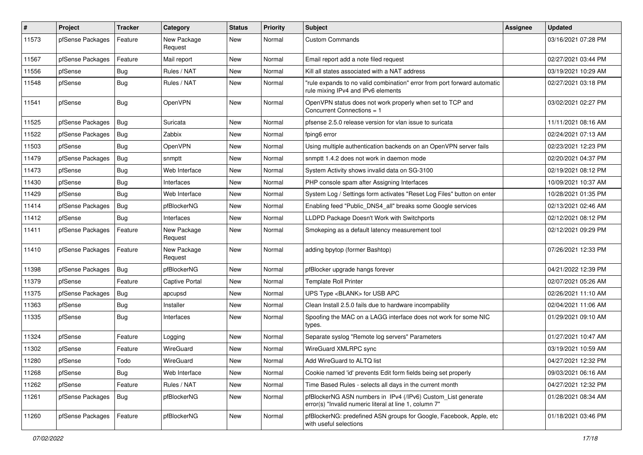| $\vert$ # | Project          | <b>Tracker</b> | Category               | <b>Status</b> | <b>Priority</b> | <b>Subject</b>                                                                                                         | Assignee | <b>Updated</b>      |
|-----------|------------------|----------------|------------------------|---------------|-----------------|------------------------------------------------------------------------------------------------------------------------|----------|---------------------|
| 11573     | pfSense Packages | Feature        | New Package<br>Request | <b>New</b>    | Normal          | <b>Custom Commands</b>                                                                                                 |          | 03/16/2021 07:28 PM |
| 11567     | pfSense Packages | Feature        | Mail report            | <b>New</b>    | Normal          | Email report add a note filed request                                                                                  |          | 02/27/2021 03:44 PM |
| 11556     | pfSense          | <b>Bug</b>     | Rules / NAT            | New           | Normal          | Kill all states associated with a NAT address                                                                          |          | 03/19/2021 10:29 AM |
| 11548     | pfSense          | Bug            | Rules / NAT            | <b>New</b>    | Normal          | "rule expands to no valid combination" error from port forward automatic<br>rule mixing IPv4 and IPv6 elements         |          | 02/27/2021 03:18 PM |
| 11541     | pfSense          | <b>Bug</b>     | OpenVPN                | <b>New</b>    | Normal          | OpenVPN status does not work properly when set to TCP and<br>Concurrent Connections = $1$                              |          | 03/02/2021 02:27 PM |
| 11525     | pfSense Packages | Bug            | Suricata               | <b>New</b>    | Normal          | pfsense 2.5.0 release version for vlan issue to suricata                                                               |          | 11/11/2021 08:16 AM |
| 11522     | pfSense Packages | Bug            | Zabbix                 | <b>New</b>    | Normal          | fping6 error                                                                                                           |          | 02/24/2021 07:13 AM |
| 11503     | pfSense          | Bug            | OpenVPN                | New           | Normal          | Using multiple authentication backends on an OpenVPN server fails                                                      |          | 02/23/2021 12:23 PM |
| 11479     | pfSense Packages | Bug            | snmptt                 | <b>New</b>    | Normal          | snmptt 1.4.2 does not work in daemon mode                                                                              |          | 02/20/2021 04:37 PM |
| 11473     | pfSense          | Bug            | Web Interface          | <b>New</b>    | Normal          | System Activity shows invalid data on SG-3100                                                                          |          | 02/19/2021 08:12 PM |
| 11430     | pfSense          | <b>Bug</b>     | Interfaces             | New           | Normal          | PHP console spam after Assigning Interfaces                                                                            |          | 10/09/2021 10:37 AM |
| 11429     | pfSense          | Bug            | Web Interface          | New           | Normal          | System Log / Settings form activates "Reset Log Files" button on enter                                                 |          | 10/28/2021 01:35 PM |
| 11414     | pfSense Packages | Bug            | pfBlockerNG            | New           | Normal          | Enabling feed "Public_DNS4_all" breaks some Google services                                                            |          | 02/13/2021 02:46 AM |
| 11412     | pfSense          | Bug            | Interfaces             | <b>New</b>    | Normal          | LLDPD Package Doesn't Work with Switchports                                                                            |          | 02/12/2021 08:12 PM |
| 11411     | pfSense Packages | Feature        | New Package<br>Request | <b>New</b>    | Normal          | Smokeping as a default latency measurement tool                                                                        |          | 02/12/2021 09:29 PM |
| 11410     | pfSense Packages | Feature        | New Package<br>Request | <b>New</b>    | Normal          | adding bpytop (former Bashtop)                                                                                         |          | 07/26/2021 12:33 PM |
| 11398     | pfSense Packages | Bug            | pfBlockerNG            | New           | Normal          | pfBlocker upgrade hangs forever                                                                                        |          | 04/21/2022 12:39 PM |
| 11379     | pfSense          | Feature        | <b>Captive Portal</b>  | New           | Normal          | <b>Template Roll Printer</b>                                                                                           |          | 02/07/2021 05:26 AM |
| 11375     | pfSense Packages | <b>Bug</b>     | apcupsd                | New           | Normal          | UPS Type <blank> for USB APC</blank>                                                                                   |          | 02/26/2021 11:10 AM |
| 11363     | pfSense          | <b>Bug</b>     | Installer              | <b>New</b>    | Normal          | Clean Install 2.5.0 fails due to hardware incompability                                                                |          | 02/04/2021 11:06 AM |
| 11335     | pfSense          | Bug            | Interfaces             | <b>New</b>    | Normal          | Spoofing the MAC on a LAGG interface does not work for some NIC<br>types.                                              |          | 01/29/2021 09:10 AM |
| 11324     | pfSense          | Feature        | Logging                | <b>New</b>    | Normal          | Separate syslog "Remote log servers" Parameters                                                                        |          | 01/27/2021 10:47 AM |
| 11302     | pfSense          | Feature        | WireGuard              | <b>New</b>    | Normal          | WireGuard XMLRPC sync                                                                                                  |          | 03/19/2021 10:59 AM |
| 11280     | pfSense          | Todo           | WireGuard              | <b>New</b>    | Normal          | Add WireGuard to ALTQ list                                                                                             |          | 04/27/2021 12:32 PM |
| 11268     | pfSense          | <b>Bug</b>     | Web Interface          | <b>New</b>    | Normal          | Cookie named 'id' prevents Edit form fields being set properly                                                         |          | 09/03/2021 06:16 AM |
| 11262     | pfSense          | Feature        | Rules / NAT            | New           | Normal          | Time Based Rules - selects all days in the current month                                                               |          | 04/27/2021 12:32 PM |
| 11261     | pfSense Packages | Bug            | pfBlockerNG            | New           | Normal          | pfBlockerNG ASN numbers in IPv4 (/IPv6) Custom_List generate<br>error(s) "Invalid numeric literal at line 1, column 7" |          | 01/28/2021 08:34 AM |
| 11260     | pfSense Packages | Feature        | pfBlockerNG            | New           | Normal          | pfBlockerNG: predefined ASN groups for Google, Facebook, Apple, etc<br>with useful selections                          |          | 01/18/2021 03:46 PM |